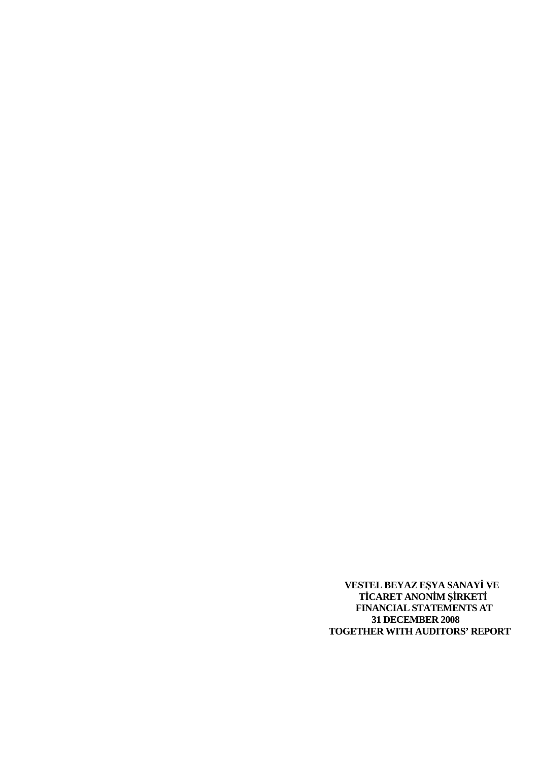**VESTEL BEYAZ E**Ş**YA SANAY**Đ **VE T**Đ**CARET ANON**Đ**M** ŞĐ**RKET**Đ  **FINANCIAL STATEMENTS AT 31 DECEMBER 2008 TOGETHER WITH AUDITORS' REPORT**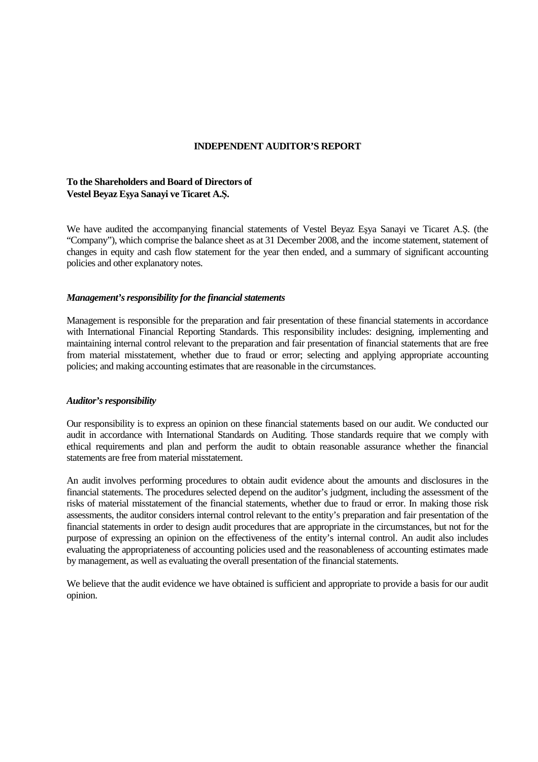## **INDEPENDENT AUDITOR'S REPORT**

# **To the Shareholders and Board of Directors of Vestel Beyaz E**ş**ya Sanayi ve Ticaret A.**Ş**.**

We have audited the accompanying financial statements of Vestel Beyaz Eşya Sanayi ve Ticaret A.Ş. (the "Company"), which comprise the balance sheet as at 31 December 2008, and the income statement, statement of changes in equity and cash flow statement for the year then ended, and a summary of significant accounting policies and other explanatory notes.

#### *Management's responsibility for the financial statements*

Management is responsible for the preparation and fair presentation of these financial statements in accordance with International Financial Reporting Standards. This responsibility includes: designing, implementing and maintaining internal control relevant to the preparation and fair presentation of financial statements that are free from material misstatement, whether due to fraud or error; selecting and applying appropriate accounting policies; and making accounting estimates that are reasonable in the circumstances.

#### *Auditor's responsibility*

Our responsibility is to express an opinion on these financial statements based on our audit. We conducted our audit in accordance with International Standards on Auditing. Those standards require that we comply with ethical requirements and plan and perform the audit to obtain reasonable assurance whether the financial statements are free from material misstatement.

An audit involves performing procedures to obtain audit evidence about the amounts and disclosures in the financial statements. The procedures selected depend on the auditor's judgment, including the assessment of the risks of material misstatement of the financial statements, whether due to fraud or error. In making those risk assessments, the auditor considers internal control relevant to the entity's preparation and fair presentation of the financial statements in order to design audit procedures that are appropriate in the circumstances, but not for the purpose of expressing an opinion on the effectiveness of the entity's internal control. An audit also includes evaluating the appropriateness of accounting policies used and the reasonableness of accounting estimates made by management, as well as evaluating the overall presentation of the financial statements.

We believe that the audit evidence we have obtained is sufficient and appropriate to provide a basis for our audit opinion.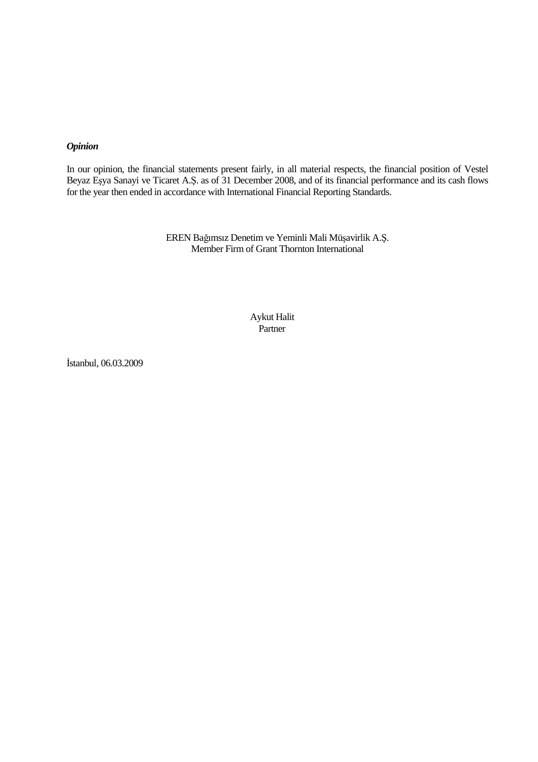# *Opinion*

In our opinion, the financial statements present fairly, in all material respects, the financial position of Vestel Beyaz Eşya Sanayi ve Ticaret A.Ş. as of 31 December 2008, and of its financial performance and its cash flows for the year then ended in accordance with International Financial Reporting Standards.

> EREN Bağımsız Denetim ve Yeminli Mali Müşavirlik A.Ş. Member Firm of Grant Thornton International

> > Aykut Halit **Partner**

İstanbul, 06.03.2009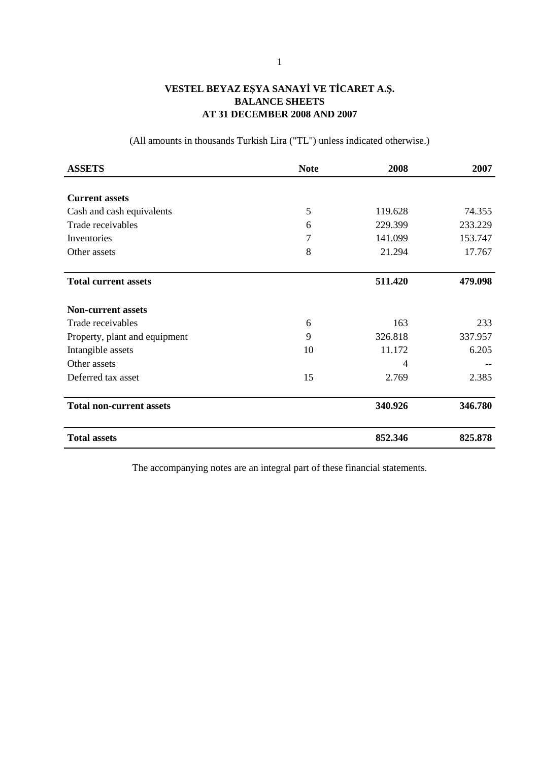# **VESTEL BEYAZ EŞYA SANAYİ VE TİCARET A.Ş. BALANCE SHEETS AT 31 DECEMBER 2008 AND 2007**

(All amounts in thousands Turkish Lira ("TL") unless indicated otherwise.)

| <b>ASSETS</b>                   | <b>Note</b> | 2008    | 2007    |
|---------------------------------|-------------|---------|---------|
|                                 |             |         |         |
| <b>Current assets</b>           |             |         |         |
| Cash and cash equivalents       | 5           | 119.628 | 74.355  |
| Trade receivables               | 6           | 229.399 | 233.229 |
| Inventories                     | 7           | 141.099 | 153.747 |
| Other assets                    | 8           | 21.294  | 17.767  |
| <b>Total current assets</b>     |             | 511.420 | 479.098 |
| <b>Non-current assets</b>       |             |         |         |
| Trade receivables               | 6           | 163     | 233     |
| Property, plant and equipment   | 9           | 326.818 | 337.957 |
| Intangible assets               | 10          | 11.172  | 6.205   |
| Other assets                    |             | 4       |         |
| Deferred tax asset              | 15          | 2.769   | 2.385   |
| <b>Total non-current assets</b> |             | 340.926 | 346.780 |
| <b>Total assets</b>             |             | 852.346 | 825.878 |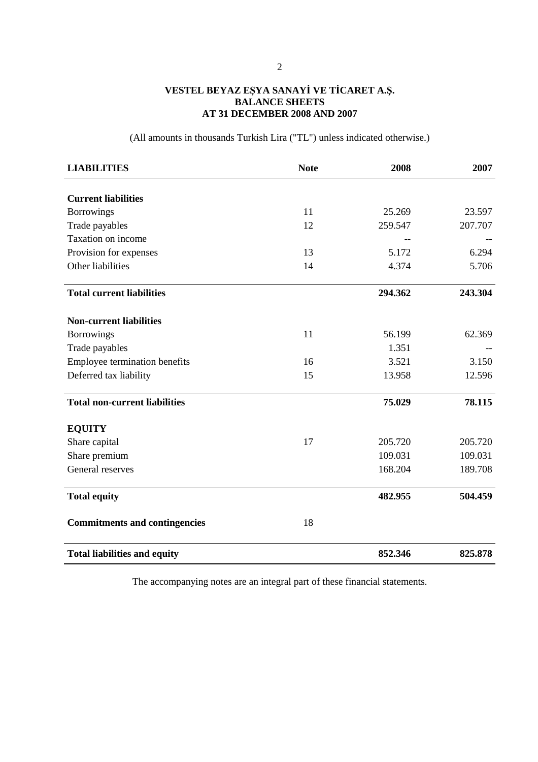# **VESTEL BEYAZ EŞYA SANAYİ VE TİCARET A.Ş. BALANCE SHEETS AT 31 DECEMBER 2008 AND 2007**

(All amounts in thousands Turkish Lira ("TL") unless indicated otherwise.)

| <b>LIABILITIES</b>                   | <b>Note</b> | 2008    | 2007    |
|--------------------------------------|-------------|---------|---------|
|                                      |             |         |         |
| <b>Current liabilities</b>           |             |         |         |
| <b>Borrowings</b>                    | 11          | 25.269  | 23.597  |
| Trade payables                       | 12          | 259.547 | 207.707 |
| Taxation on income                   |             | $-$     |         |
| Provision for expenses               | 13          | 5.172   | 6.294   |
| Other liabilities                    | 14          | 4.374   | 5.706   |
| <b>Total current liabilities</b>     |             | 294.362 | 243.304 |
| <b>Non-current liabilities</b>       |             |         |         |
| <b>Borrowings</b>                    | 11          | 56.199  | 62.369  |
| Trade payables                       |             | 1.351   |         |
| <b>Employee termination benefits</b> | 16          | 3.521   | 3.150   |
| Deferred tax liability               | 15          | 13.958  | 12.596  |
| <b>Total non-current liabilities</b> |             | 75.029  | 78.115  |
| <b>EQUITY</b>                        |             |         |         |
| Share capital                        | 17          | 205.720 | 205.720 |
| Share premium                        |             | 109.031 | 109.031 |
| General reserves                     |             | 168.204 | 189.708 |
| <b>Total equity</b>                  |             | 482.955 | 504.459 |
| <b>Commitments and contingencies</b> | 18          |         |         |
| <b>Total liabilities and equity</b>  |             | 852.346 | 825.878 |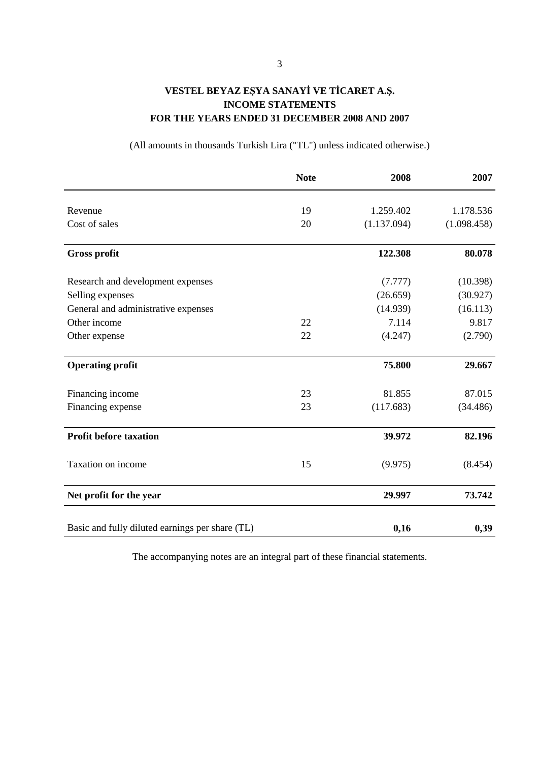# **VESTEL BEYAZ EŞYA SANAYİ VE TİCARET A.Ş. INCOME STATEMENTS FOR THE YEARS ENDED 31 DECEMBER 2008 AND 2007**

(All amounts in thousands Turkish Lira ("TL") unless indicated otherwise.)

|                                                 | <b>Note</b> | 2008        | 2007        |
|-------------------------------------------------|-------------|-------------|-------------|
| Revenue                                         | 19          | 1.259.402   | 1.178.536   |
| Cost of sales                                   | 20          | (1.137.094) | (1.098.458) |
| <b>Gross profit</b>                             |             | 122.308     | 80.078      |
| Research and development expenses               |             | (7.777)     | (10.398)    |
| Selling expenses                                |             | (26.659)    | (30.927)    |
| General and administrative expenses             |             | (14.939)    | (16.113)    |
| Other income                                    | 22          | 7.114       | 9.817       |
| Other expense                                   | 22          | (4.247)     | (2.790)     |
| <b>Operating profit</b>                         |             | 75.800      | 29.667      |
| Financing income                                | 23          | 81.855      | 87.015      |
| Financing expense                               | 23          | (117.683)   | (34.486)    |
| <b>Profit before taxation</b>                   |             | 39.972      | 82.196      |
| Taxation on income                              | 15          | (9.975)     | (8.454)     |
| Net profit for the year                         |             | 29.997      | 73.742      |
| Basic and fully diluted earnings per share (TL) |             | 0,16        | 0,39        |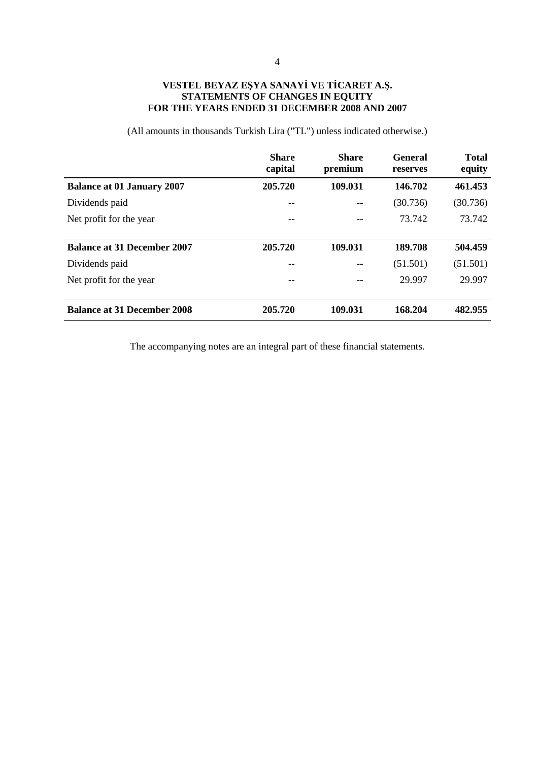# **VESTEL BEYAZ EŞYA SANAYİ VE TİCARET A.Ş. STATEMENTS OF CHANGES IN EQUITY FOR THE YEARS ENDED 31 DECEMBER 2008 AND 2007**

**Share capital Share premium General reserves Total equity Balance at 01 January 2007 205.720 109.031 146.702 461.453**  Dividends paid -- (30.736) (30.736) (30.736) Net profit for the year 13.742 73.742

**Balance at 31 December 2007** 205.720 109.031 189.708 504.459 Dividends paid -- (51.501) (51.501) (51.501) Net profit for the year 129.997 29.997

(All amounts in thousands Turkish Lira ("TL") unless indicated otherwise.)

| The accompanying notes are an integral part of these financial statements. |  |
|----------------------------------------------------------------------------|--|

**Balance at 31 December 2008 205.720 109.031 168.204 482.955**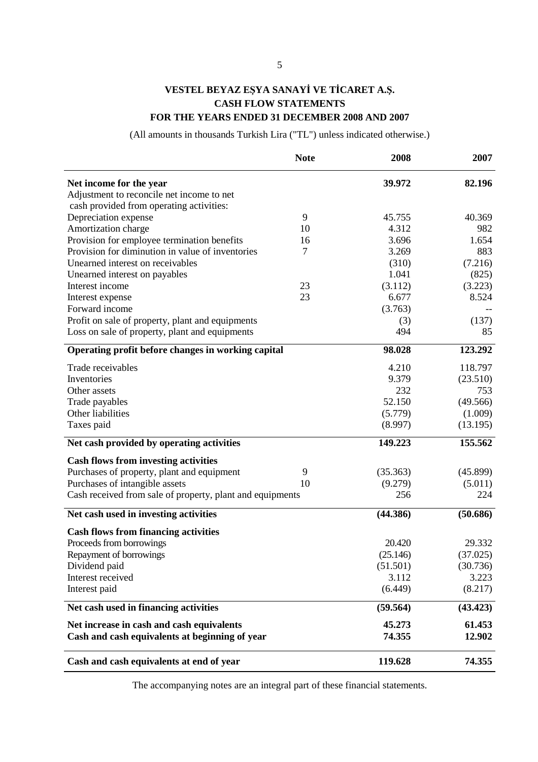# **VESTEL BEYAZ EŞYA SANAYİ VE TİCARET A.Ş. CASH FLOW STATEMENTS FOR THE YEARS ENDED 31 DECEMBER 2008 AND 2007**

(All amounts in thousands Turkish Lira ("TL") unless indicated otherwise.)

|                                                           | <b>Note</b> | 2008     | 2007     |
|-----------------------------------------------------------|-------------|----------|----------|
| Net income for the year                                   |             | 39.972   | 82.196   |
| Adjustment to reconcile net income to net                 |             |          |          |
| cash provided from operating activities:                  |             |          |          |
| Depreciation expense                                      | 9           | 45.755   | 40.369   |
| Amortization charge                                       | 10          | 4.312    | 982      |
| Provision for employee termination benefits               | 16          | 3.696    | 1.654    |
| Provision for diminution in value of inventories          | 7           | 3.269    | 883      |
| Unearned interest on receivables                          |             | (310)    | (7.216)  |
| Unearned interest on payables                             |             | 1.041    | (825)    |
| Interest income                                           | 23          | (3.112)  | (3.223)  |
| Interest expense                                          | 23          | 6.677    | 8.524    |
| Forward income                                            |             | (3.763)  |          |
| Profit on sale of property, plant and equipments          |             | (3)      | (137)    |
| Loss on sale of property, plant and equipments            |             | 494      | 85       |
| Operating profit before changes in working capital        |             | 98.028   | 123.292  |
| Trade receivables                                         |             | 4.210    | 118.797  |
| Inventories                                               |             | 9.379    | (23.510) |
| Other assets                                              |             | 232      | 753      |
| Trade payables                                            |             | 52.150   | (49.566) |
| Other liabilities                                         |             | (5.779)  | (1.009)  |
| Taxes paid                                                |             | (8.997)  | (13.195) |
| Net cash provided by operating activities                 |             | 149.223  | 155.562  |
| <b>Cash flows from investing activities</b>               |             |          |          |
| Purchases of property, plant and equipment                | 9           | (35.363) | (45.899) |
| Purchases of intangible assets                            | 10          | (9.279)  | (5.011)  |
| Cash received from sale of property, plant and equipments |             | 256      | 224      |
| Net cash used in investing activities                     |             | (44.386) | (50.686) |
| <b>Cash flows from financing activities</b>               |             |          |          |
| Proceeds from borrowings                                  |             | 20.420   | 29.332   |
| Repayment of borrowings                                   |             | (25.146) | (37.025) |
| Dividend paid                                             |             | (51.501) | (30.736) |
| Interest received                                         |             | 3.112    | 3.223    |
| Interest paid                                             |             | (6.449)  | (8.217)  |
|                                                           |             |          |          |
| Net cash used in financing activities                     |             | (59.564) | (43.423) |
| Net increase in cash and cash equivalents                 |             | 45.273   | 61.453   |
| Cash and cash equivalents at beginning of year            |             | 74.355   | 12.902   |
| Cash and cash equivalents at end of year                  |             | 119.628  | 74.355   |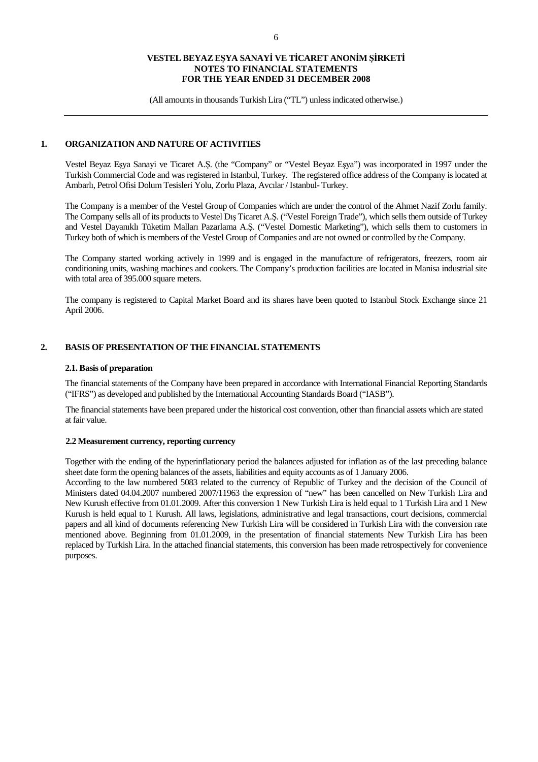(All amounts in thousands Turkish Lira ("TL") unless indicated otherwise.)

#### **1. ORGANIZATION AND NATURE OF ACTIVITIES**

Vestel Beyaz Eşya Sanayi ve Ticaret A.Ş. (the "Company" or "Vestel Beyaz Eşya") was incorporated in 1997 under the Turkish Commercial Code and was registered in Istanbul, Turkey. The registered office address of the Company is located at Ambarlı, Petrol Ofisi Dolum Tesisleri Yolu, Zorlu Plaza, Avcılar / Istanbul- Turkey.

The Company is a member of the Vestel Group of Companies which are under the control of the Ahmet Nazif Zorlu family. The Company sells all of its products to Vestel Dış Ticaret A.Ş. ("Vestel Foreign Trade"), which sells them outside of Turkey and Vestel Dayanıklı Tüketim Malları Pazarlama A.Ş. ("Vestel Domestic Marketing"), which sells them to customers in Turkey both of which is members of the Vestel Group of Companies and are not owned or controlled by the Company.

The Company started working actively in 1999 and is engaged in the manufacture of refrigerators, freezers, room air conditioning units, washing machines and cookers. The Company's production facilities are located in Manisa industrial site with total area of 395.000 square meters.

The company is registered to Capital Market Board and its shares have been quoted to Istanbul Stock Exchange since 21 April 2006.

#### **2. BASIS OF PRESENTATION OF THE FINANCIAL STATEMENTS**

#### **2.1. Basis of preparation**

The financial statements of the Company have been prepared in accordance with International Financial Reporting Standards ("IFRS") as developed and published by the International Accounting Standards Board ("IASB").

The financial statements have been prepared under the historical cost convention, other than financial assets which are stated at fair value.

#### **2.2 Measurement currency, reporting currency**

Together with the ending of the hyperinflationary period the balances adjusted for inflation as of the last preceding balance sheet date form the opening balances of the assets, liabilities and equity accounts as of 1 January 2006.

According to the law numbered 5083 related to the currency of Republic of Turkey and the decision of the Council of Ministers dated 04.04.2007 numbered 2007/11963 the expression of "new" has been cancelled on New Turkish Lira and New Kurush effective from 01.01.2009. After this conversion 1 New Turkish Lira is held equal to 1 Turkish Lira and 1 New Kurush is held equal to 1 Kurush. All laws, legislations, administrative and legal transactions, court decisions, commercial papers and all kind of documents referencing New Turkish Lira will be considered in Turkish Lira with the conversion rate mentioned above. Beginning from 01.01.2009, in the presentation of financial statements New Turkish Lira has been replaced by Turkish Lira. In the attached financial statements, this conversion has been made retrospectively for convenience purposes.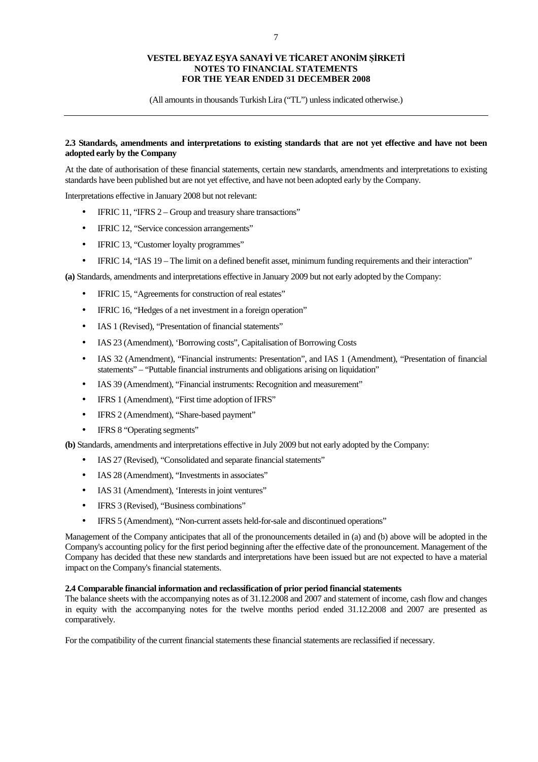(All amounts in thousands Turkish Lira ("TL") unless indicated otherwise.)

#### **2.3 Standards, amendments and interpretations to existing standards that are not yet effective and have not been adopted early by the Company**

At the date of authorisation of these financial statements, certain new standards, amendments and interpretations to existing standards have been published but are not yet effective, and have not been adopted early by the Company.

Interpretations effective in January 2008 but not relevant:

- IFRIC 11, "IFRS 2 Group and treasury share transactions"
- IFRIC 12, "Service concession arrangements"
- IFRIC 13, "Customer loyalty programmes"
- IFRIC 14, "IAS 19 The limit on a defined benefit asset, minimum funding requirements and their interaction"

**(a)** Standards, amendments and interpretations effective in January 2009 but not early adopted by the Company:

- IFRIC 15, "Agreements for construction of real estates"
- IFRIC 16, "Hedges of a net investment in a foreign operation"
- IAS 1 (Revised), "Presentation of financial statements"
- IAS 23 (Amendment), 'Borrowing costs'', Capitalisation of Borrowing Costs
- IAS 32 (Amendment), "Financial instruments: Presentation", and IAS 1 (Amendment), "Presentation of financial statements" – "Puttable financial instruments and obligations arising on liquidation"
- IAS 39 (Amendment), "Financial instruments: Recognition and measurement"
- IFRS 1 (Amendment), "First time adoption of IFRS"
- IFRS 2 (Amendment), "Share-based payment"
- IFRS 8 "Operating segments"

**(b)** Standards, amendments and interpretations effective in July 2009 but not early adopted by the Company:

- IAS 27 (Revised), "Consolidated and separate financial statements"
- IAS 28 (Amendment), "Investments in associates"
- IAS 31 (Amendment), 'Interests in joint ventures''
- IFRS 3 (Revised), "Business combinations"
- IFRS 5 (Amendment), "Non-current assets held-for-sale and discontinued operations"

Management of the Company anticipates that all of the pronouncements detailed in (a) and (b) above will be adopted in the Company's accounting policy for the first period beginning after the effective date of the pronouncement. Management of the Company has decided that these new standards and interpretations have been issued but are not expected to have a material impact on the Company's financial statements.

#### **2.4 Comparable financial information and reclassification of prior period financial statements**

The balance sheets with the accompanying notes as of 31.12.2008 and 2007 and statement of income, cash flow and changes in equity with the accompanying notes for the twelve months period ended 31.12.2008 and 2007 are presented as comparatively.

For the compatibility of the current financial statements these financial statements are reclassified if necessary.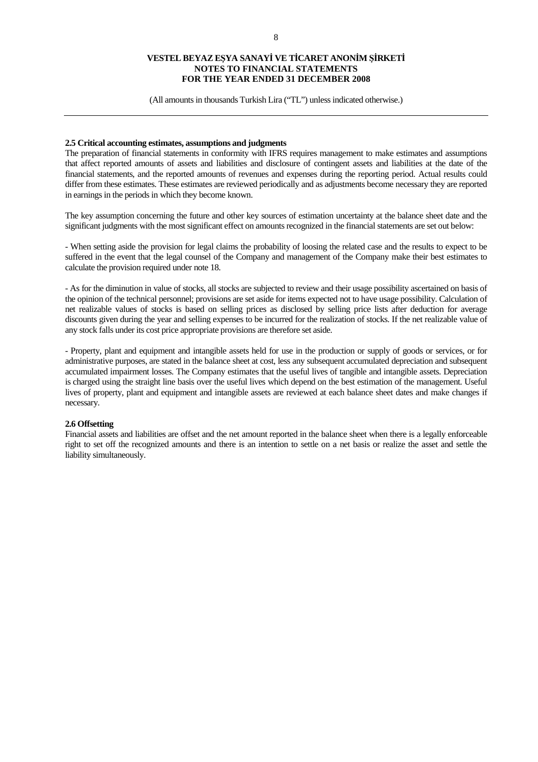(All amounts in thousands Turkish Lira ("TL") unless indicated otherwise.)

#### **2.5 Critical accounting estimates, assumptions and judgments**

The preparation of financial statements in conformity with IFRS requires management to make estimates and assumptions that affect reported amounts of assets and liabilities and disclosure of contingent assets and liabilities at the date of the financial statements, and the reported amounts of revenues and expenses during the reporting period. Actual results could differ from these estimates. These estimates are reviewed periodically and as adjustments become necessary they are reported in earnings in the periods in which they become known.

The key assumption concerning the future and other key sources of estimation uncertainty at the balance sheet date and the significant judgments with the most significant effect on amounts recognized in the financial statements are set out below:

- When setting aside the provision for legal claims the probability of loosing the related case and the results to expect to be suffered in the event that the legal counsel of the Company and management of the Company make their best estimates to calculate the provision required under note 18.

- As for the diminution in value of stocks, all stocks are subjected to review and their usage possibility ascertained on basis of the opinion of the technical personnel; provisions are set aside for items expected not to have usage possibility. Calculation of net realizable values of stocks is based on selling prices as disclosed by selling price lists after deduction for average discounts given during the year and selling expenses to be incurred for the realization of stocks. If the net realizable value of any stock falls under its cost price appropriate provisions are therefore set aside.

- Property, plant and equipment and intangible assets held for use in the production or supply of goods or services, or for administrative purposes, are stated in the balance sheet at cost, less any subsequent accumulated depreciation and subsequent accumulated impairment losses. The Company estimates that the useful lives of tangible and intangible assets. Depreciation is charged using the straight line basis over the useful lives which depend on the best estimation of the management. Useful lives of property, plant and equipment and intangible assets are reviewed at each balance sheet dates and make changes if necessary.

#### **2.6 Offsetting**

Financial assets and liabilities are offset and the net amount reported in the balance sheet when there is a legally enforceable right to set off the recognized amounts and there is an intention to settle on a net basis or realize the asset and settle the liability simultaneously.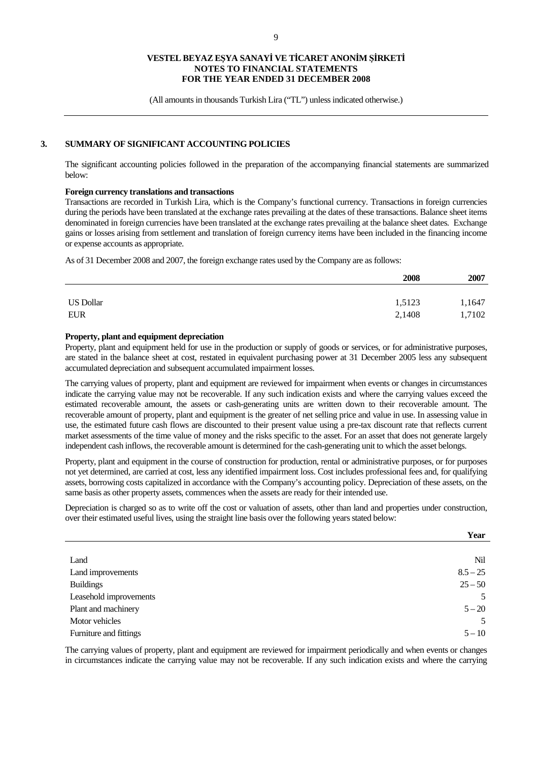(All amounts in thousands Turkish Lira ("TL") unless indicated otherwise.)

### **3. SUMMARY OF SIGNIFICANT ACCOUNTING POLICIES**

The significant accounting policies followed in the preparation of the accompanying financial statements are summarized below:

#### **Foreign currency translations and transactions**

Transactions are recorded in Turkish Lira, which is the Company's functional currency. Transactions in foreign currencies during the periods have been translated at the exchange rates prevailing at the dates of these transactions. Balance sheet items denominated in foreign currencies have been translated at the exchange rates prevailing at the balance sheet dates. Exchange gains or losses arising from settlement and translation of foreign currency items have been included in the financing income or expense accounts as appropriate.

As of 31 December 2008 and 2007, the foreign exchange rates used by the Company are as follows:

|            | 2008   | 2007   |
|------------|--------|--------|
|            |        |        |
| US Dollar  | 1,5123 | 1,1647 |
| <b>EUR</b> | 2,1408 | 1,7102 |

#### **Property, plant and equipment depreciation**

Property, plant and equipment held for use in the production or supply of goods or services, or for administrative purposes, are stated in the balance sheet at cost, restated in equivalent purchasing power at 31 December 2005 less any subsequent accumulated depreciation and subsequent accumulated impairment losses.

The carrying values of property, plant and equipment are reviewed for impairment when events or changes in circumstances indicate the carrying value may not be recoverable. If any such indication exists and where the carrying values exceed the estimated recoverable amount, the assets or cash-generating units are written down to their recoverable amount. The recoverable amount of property, plant and equipment is the greater of net selling price and value in use. In assessing value in use, the estimated future cash flows are discounted to their present value using a pre-tax discount rate that reflects current market assessments of the time value of money and the risks specific to the asset. For an asset that does not generate largely independent cash inflows, the recoverable amount is determined for the cash-generating unit to which the asset belongs.

Property, plant and equipment in the course of construction for production, rental or administrative purposes, or for purposes not yet determined, are carried at cost, less any identified impairment loss. Cost includes professional fees and, for qualifying assets, borrowing costs capitalized in accordance with the Company's accounting policy. Depreciation of these assets, on the same basis as other property assets, commences when the assets are ready for their intended use.

Depreciation is charged so as to write off the cost or valuation of assets, other than land and properties under construction, over their estimated useful lives, using the straight line basis over the following years stated below:

|                        | Year       |
|------------------------|------------|
|                        |            |
| Land                   | <b>Nil</b> |
| Land improvements      | $8.5 - 25$ |
| <b>Buildings</b>       | $25 - 50$  |
| Leasehold improvements |            |
| Plant and machinery    | $5 - 20$   |
| Motor vehicles         |            |
| Furniture and fittings | $5 - 10$   |

The carrying values of property, plant and equipment are reviewed for impairment periodically and when events or changes in circumstances indicate the carrying value may not be recoverable. If any such indication exists and where the carrying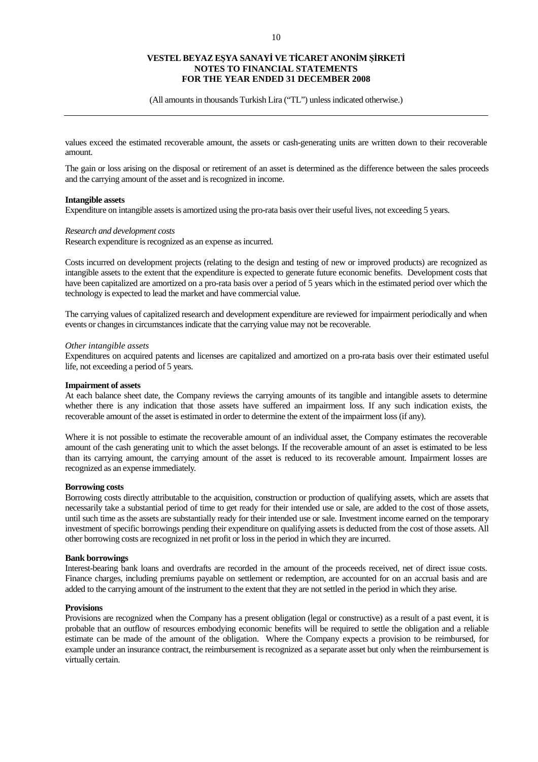(All amounts in thousands Turkish Lira ("TL") unless indicated otherwise.)

values exceed the estimated recoverable amount, the assets or cash-generating units are written down to their recoverable amount.

The gain or loss arising on the disposal or retirement of an asset is determined as the difference between the sales proceeds and the carrying amount of the asset and is recognized in income.

#### **Intangible assets**

Expenditure on intangible assets is amortized using the pro-rata basis over their useful lives, not exceeding 5 years.

#### *Research and development costs*

Research expenditure is recognized as an expense as incurred.

Costs incurred on development projects (relating to the design and testing of new or improved products) are recognized as intangible assets to the extent that the expenditure is expected to generate future economic benefits. Development costs that have been capitalized are amortized on a pro-rata basis over a period of 5 years which in the estimated period over which the technology is expected to lead the market and have commercial value.

The carrying values of capitalized research and development expenditure are reviewed for impairment periodically and when events or changes in circumstances indicate that the carrying value may not be recoverable.

#### *Other intangible assets*

Expenditures on acquired patents and licenses are capitalized and amortized on a pro-rata basis over their estimated useful life, not exceeding a period of 5 years.

#### **Impairment of assets**

At each balance sheet date, the Company reviews the carrying amounts of its tangible and intangible assets to determine whether there is any indication that those assets have suffered an impairment loss. If any such indication exists, the recoverable amount of the asset is estimated in order to determine the extent of the impairment loss (if any).

Where it is not possible to estimate the recoverable amount of an individual asset, the Company estimates the recoverable amount of the cash generating unit to which the asset belongs. If the recoverable amount of an asset is estimated to be less than its carrying amount, the carrying amount of the asset is reduced to its recoverable amount. Impairment losses are recognized as an expense immediately.

#### **Borrowing costs**

Borrowing costs directly attributable to the acquisition, construction or production of qualifying assets, which are assets that necessarily take a substantial period of time to get ready for their intended use or sale, are added to the cost of those assets, until such time as the assets are substantially ready for their intended use or sale. Investment income earned on the temporary investment of specific borrowings pending their expenditure on qualifying assets is deducted from the cost of those assets. All other borrowing costs are recognized in net profit or loss in the period in which they are incurred.

#### **Bank borrowings**

Interest-bearing bank loans and overdrafts are recorded in the amount of the proceeds received, net of direct issue costs. Finance charges, including premiums payable on settlement or redemption, are accounted for on an accrual basis and are added to the carrying amount of the instrument to the extent that they are not settled in the period in which they arise.

#### **Provisions**

Provisions are recognized when the Company has a present obligation (legal or constructive) as a result of a past event, it is probable that an outflow of resources embodying economic benefits will be required to settle the obligation and a reliable estimate can be made of the amount of the obligation. Where the Company expects a provision to be reimbursed, for example under an insurance contract, the reimbursement is recognized as a separate asset but only when the reimbursement is virtually certain.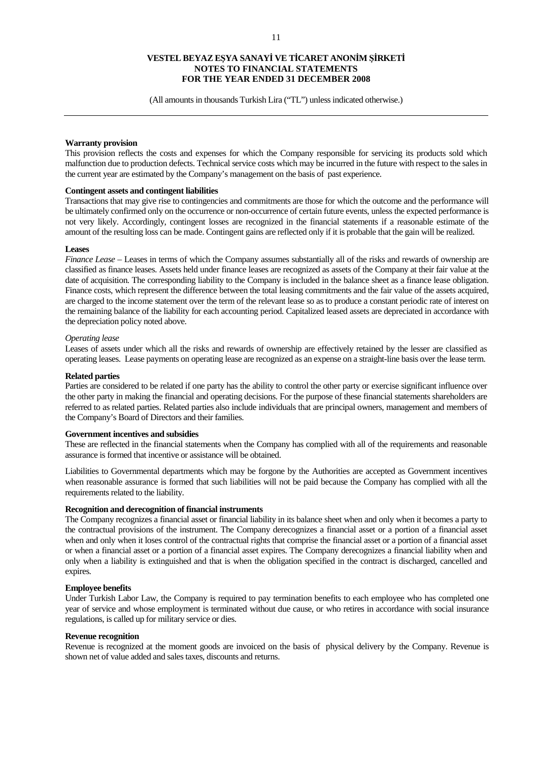(All amounts in thousands Turkish Lira ("TL") unless indicated otherwise.)

#### **Warranty provision**

This provision reflects the costs and expenses for which the Company responsible for servicing its products sold which malfunction due to production defects. Technical service costs which may be incurred in the future with respect to the sales in the current year are estimated by the Company's management on the basis of past experience.

### **Contingent assets and contingent liabilities**

Transactions that may give rise to contingencies and commitments are those for which the outcome and the performance will be ultimately confirmed only on the occurrence or non-occurrence of certain future events, unless the expected performance is not very likely. Accordingly, contingent losses are recognized in the financial statements if a reasonable estimate of the amount of the resulting loss can be made. Contingent gains are reflected only if it is probable that the gain will be realized.

#### **Leases**

*Finance Lease –* Leases in terms of which the Company assumes substantially all of the risks and rewards of ownership are classified as finance leases. Assets held under finance leases are recognized as assets of the Company at their fair value at the date of acquisition. The corresponding liability to the Company is included in the balance sheet as a finance lease obligation. Finance costs, which represent the difference between the total leasing commitments and the fair value of the assets acquired, are charged to the income statement over the term of the relevant lease so as to produce a constant periodic rate of interest on the remaining balance of the liability for each accounting period. Capitalized leased assets are depreciated in accordance with the depreciation policy noted above.

#### *Operating lease*

Leases of assets under which all the risks and rewards of ownership are effectively retained by the lesser are classified as operating leases. Lease payments on operating lease are recognized as an expense on a straight-line basis over the lease term.

#### **Related parties**

Parties are considered to be related if one party has the ability to control the other party or exercise significant influence over the other party in making the financial and operating decisions. For the purpose of these financial statements shareholders are referred to as related parties. Related parties also include individuals that are principal owners, management and members of the Company's Board of Directors and their families.

#### **Government incentives and subsidies**

These are reflected in the financial statements when the Company has complied with all of the requirements and reasonable assurance is formed that incentive or assistance will be obtained.

Liabilities to Governmental departments which may be forgone by the Authorities are accepted as Government incentives when reasonable assurance is formed that such liabilities will not be paid because the Company has complied with all the requirements related to the liability.

#### **Recognition and derecognition of financial instruments**

The Company recognizes a financial asset or financial liability in its balance sheet when and only when it becomes a party to the contractual provisions of the instrument. The Company derecognizes a financial asset or a portion of a financial asset when and only when it loses control of the contractual rights that comprise the financial asset or a portion of a financial asset or when a financial asset or a portion of a financial asset expires. The Company derecognizes a financial liability when and only when a liability is extinguished and that is when the obligation specified in the contract is discharged, cancelled and expires.

#### **Employee benefits**

Under Turkish Labor Law, the Company is required to pay termination benefits to each employee who has completed one year of service and whose employment is terminated without due cause, or who retires in accordance with social insurance regulations, is called up for military service or dies.

#### **Revenue recognition**

Revenue is recognized at the moment goods are invoiced on the basis of physical delivery by the Company. Revenue is shown net of value added and sales taxes, discounts and returns.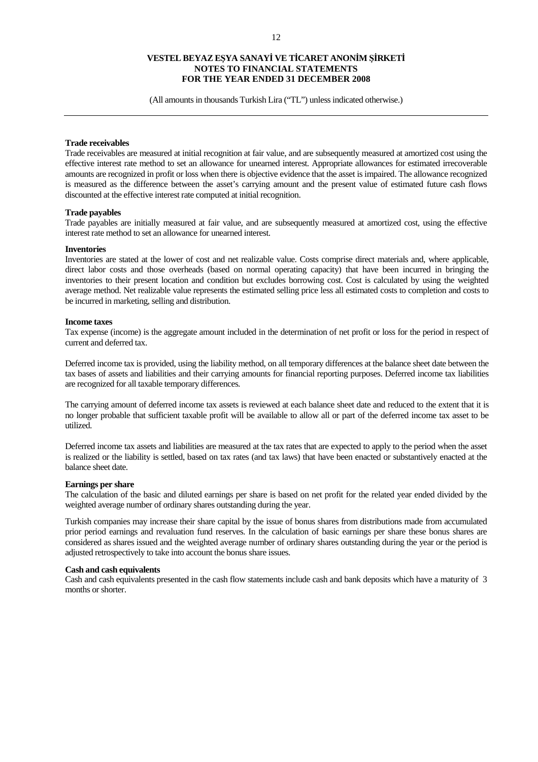(All amounts in thousands Turkish Lira ("TL") unless indicated otherwise.)

#### **Trade receivables**

Trade receivables are measured at initial recognition at fair value, and are subsequently measured at amortized cost using the effective interest rate method to set an allowance for unearned interest. Appropriate allowances for estimated irrecoverable amounts are recognized in profit or loss when there is objective evidence that the asset is impaired. The allowance recognized is measured as the difference between the asset's carrying amount and the present value of estimated future cash flows discounted at the effective interest rate computed at initial recognition.

#### **Trade payables**

Trade payables are initially measured at fair value, and are subsequently measured at amortized cost, using the effective interest rate method to set an allowance for unearned interest.

#### **Inventories**

Inventories are stated at the lower of cost and net realizable value. Costs comprise direct materials and, where applicable, direct labor costs and those overheads (based on normal operating capacity) that have been incurred in bringing the inventories to their present location and condition but excludes borrowing cost. Cost is calculated by using the weighted average method. Net realizable value represents the estimated selling price less all estimated costs to completion and costs to be incurred in marketing, selling and distribution.

#### **Income taxes**

Tax expense (income) is the aggregate amount included in the determination of net profit or loss for the period in respect of current and deferred tax.

Deferred income tax is provided, using the liability method, on all temporary differences at the balance sheet date between the tax bases of assets and liabilities and their carrying amounts for financial reporting purposes. Deferred income tax liabilities are recognized for all taxable temporary differences.

The carrying amount of deferred income tax assets is reviewed at each balance sheet date and reduced to the extent that it is no longer probable that sufficient taxable profit will be available to allow all or part of the deferred income tax asset to be utilized.

Deferred income tax assets and liabilities are measured at the tax rates that are expected to apply to the period when the asset is realized or the liability is settled, based on tax rates (and tax laws) that have been enacted or substantively enacted at the balance sheet date.

#### **Earnings per share**

The calculation of the basic and diluted earnings per share is based on net profit for the related year ended divided by the weighted average number of ordinary shares outstanding during the year.

Turkish companies may increase their share capital by the issue of bonus shares from distributions made from accumulated prior period earnings and revaluation fund reserves. In the calculation of basic earnings per share these bonus shares are considered as shares issued and the weighted average number of ordinary shares outstanding during the year or the period is adjusted retrospectively to take into account the bonus share issues.

#### **Cash and cash equivalents**

Cash and cash equivalents presented in the cash flow statements include cash and bank deposits which have a maturity of 3 months or shorter.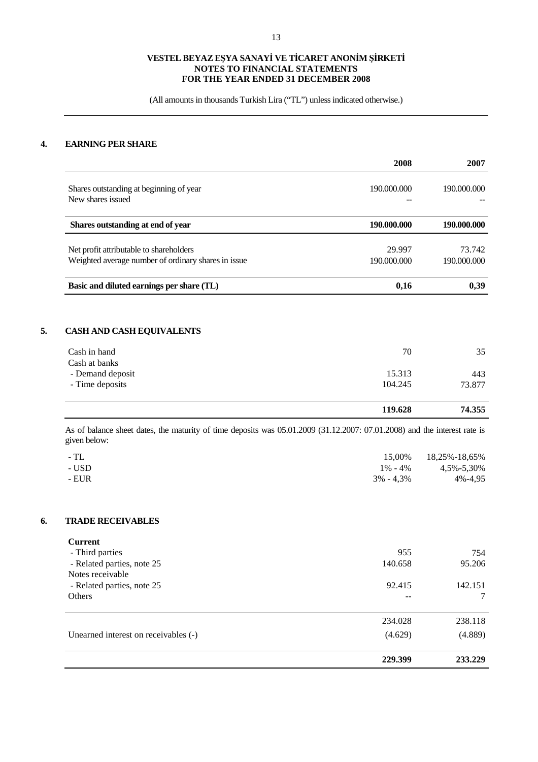(All amounts in thousands Turkish Lira ("TL") unless indicated otherwise.)

# **4. EARNING PER SHARE**

|                                                                                                                                           | 2008                         | 2007                  |
|-------------------------------------------------------------------------------------------------------------------------------------------|------------------------------|-----------------------|
| Shares outstanding at beginning of year<br>New shares issued                                                                              | 190.000.000                  | 190.000.000           |
| Shares outstanding at end of year                                                                                                         | 190.000.000                  | 190.000.000           |
| Net profit attributable to shareholders                                                                                                   | 29.997                       | 73.742                |
| Weighted average number of ordinary shares in issue                                                                                       | 190.000.000                  | 190.000.000           |
| Basic and diluted earnings per share (TL)                                                                                                 | 0,16                         | 0,39                  |
| CASH AND CASH EQUIVALENTS                                                                                                                 |                              |                       |
| Cash in hand<br>Cash at banks                                                                                                             | 70                           | 35                    |
| - Demand deposit                                                                                                                          | 15.313                       | 443                   |
| - Time deposits                                                                                                                           | 104.245                      | 73.877                |
|                                                                                                                                           | 119.628                      | 74.355                |
| As of balance sheet dates, the maturity of time deposits was 05.01.2009 (31.12.2007: 07.01.2008) and the interest rate is<br>given below: |                              |                       |
| $-TL$                                                                                                                                     | 15,00%                       | 18,25%-18,65%         |
| - USD<br>$-$ EUR                                                                                                                          | $1\% - 4\%$<br>$3\% - 4,3\%$ | 4,5%-5,30%<br>4%-4,95 |
| <b>TRADE RECEIVABLES</b>                                                                                                                  |                              |                       |
| <b>Current</b>                                                                                                                            |                              |                       |
| - Third parties                                                                                                                           | 955                          | 754                   |
| - Related parties, note 25                                                                                                                | 140.658                      | 95.206                |
| Notes receivable<br>- Related parties, note 25                                                                                            | 92.415                       | 142.151               |
| Others                                                                                                                                    |                              | 7                     |
|                                                                                                                                           | 234.028                      | 238.118               |
| Unearned interest on receivables (-)                                                                                                      | (4.629)                      | (4.889)               |
|                                                                                                                                           | 229.399                      | 233.229               |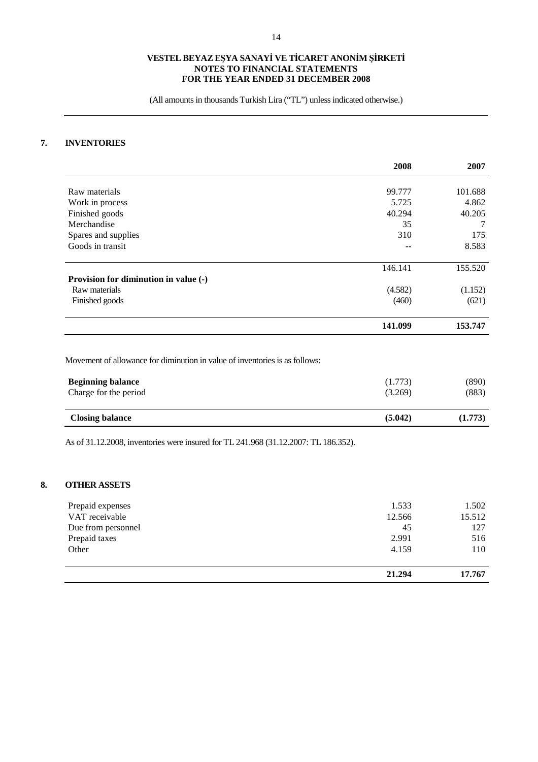(All amounts in thousands Turkish Lira ("TL") unless indicated otherwise.)

# **7. INVENTORIES**

|                                                                                                       | 2008               | 2007           |
|-------------------------------------------------------------------------------------------------------|--------------------|----------------|
| Raw materials                                                                                         | 99.777             | 101.688        |
| Work in process                                                                                       | 5.725              | 4.862          |
| Finished goods                                                                                        | 40.294             | 40.205         |
| Merchandise                                                                                           | 35                 | 7              |
| Spares and supplies                                                                                   | 310                | 175            |
| Goods in transit                                                                                      | $\overline{a}$     | 8.583          |
|                                                                                                       | 146.141            | 155.520        |
| Provision for diminution in value (-)                                                                 |                    |                |
| Raw materials                                                                                         | (4.582)            | (1.152)        |
| Finished goods                                                                                        | (460)              | (621)          |
|                                                                                                       | 141.099            | 153.747        |
|                                                                                                       |                    |                |
| <b>Beginning balance</b><br>Charge for the period                                                     | (1.773)<br>(3.269) | (890)<br>(883) |
| Movement of allowance for diminution in value of inventories is as follows:<br><b>Closing balance</b> | (5.042)            | (1.773)        |
| As of 31.12.2008, inventories were insured for TL 241.968 (31.12.2007: TL 186.352).                   |                    |                |
| <b>OTHER ASSETS</b>                                                                                   |                    |                |
| Prepaid expenses                                                                                      | 1.533              | 1.502          |
| VAT receivable                                                                                        | 12.566             | 15.512         |
| Due from personnel                                                                                    | 45                 | 127            |
| Prepaid taxes                                                                                         | 2.991              | 516            |

 **21.294 17.767**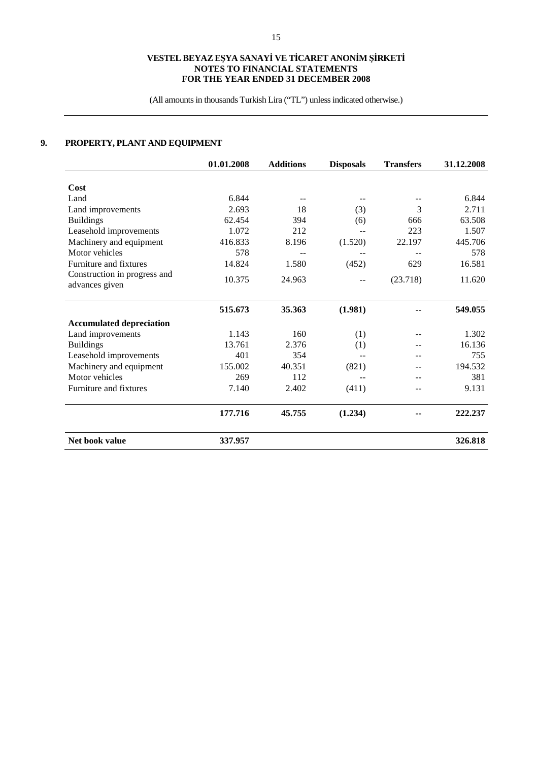(All amounts in thousands Turkish Lira ("TL") unless indicated otherwise.)

### **9. PROPERTY, PLANT AND EQUIPMENT**

|                                 | 01.01.2008 | <b>Additions</b> | <b>Disposals</b> | <b>Transfers</b> | 31.12.2008 |
|---------------------------------|------------|------------------|------------------|------------------|------------|
|                                 |            |                  |                  |                  |            |
| Cost                            |            |                  |                  |                  |            |
| Land                            | 6.844      |                  |                  | --               | 6.844      |
| Land improvements               | 2.693      | 18               | (3)              | 3                | 2.711      |
| <b>Buildings</b>                | 62.454     | 394              | (6)              | 666              | 63.508     |
| Leasehold improvements          | 1.072      | 212              |                  | 223              | 1.507      |
| Machinery and equipment         | 416.833    | 8.196            | (1.520)          | 22.197           | 445.706    |
| Motor vehicles                  | 578        |                  |                  | --               | 578        |
| Furniture and fixtures          | 14.824     | 1.580            | (452)            | 629              | 16.581     |
| Construction in progress and    | 10.375     | 24.963           |                  | (23.718)         | 11.620     |
| advances given                  |            |                  |                  |                  |            |
|                                 |            |                  |                  |                  |            |
|                                 | 515.673    | 35.363           | (1.981)          |                  | 549.055    |
| <b>Accumulated depreciation</b> |            |                  |                  |                  |            |
| Land improvements               | 1.143      | 160              | (1)              |                  | 1.302      |
| <b>Buildings</b>                | 13.761     | 2.376            | (1)              |                  | 16.136     |
| Leasehold improvements          | 401        | 354              |                  |                  | 755        |
| Machinery and equipment         | 155.002    | 40.351           | (821)            | --               | 194.532    |
| Motor vehicles                  | 269        | 112              |                  | --               | 381        |
| Furniture and fixtures          | 7.140      | 2.402            | (411)            |                  | 9.131      |
|                                 | 177.716    | 45.755           | (1.234)          |                  | 222.237    |
|                                 |            |                  |                  |                  |            |
| Net book value                  | 337.957    |                  |                  |                  | 326.818    |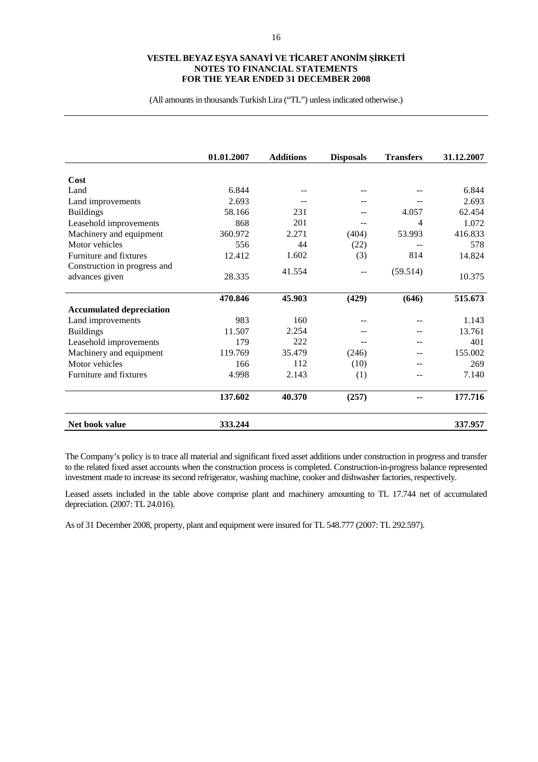(All amounts in thousands Turkish Lira ("TL") unless indicated otherwise.)

|                                 | 01.01.2007 | <b>Additions</b> | <b>Disposals</b> | <b>Transfers</b> | 31.12.2007 |
|---------------------------------|------------|------------------|------------------|------------------|------------|
|                                 |            |                  |                  |                  |            |
| Cost                            |            |                  |                  |                  |            |
| Land                            | 6.844      |                  |                  |                  | 6.844      |
| Land improvements               | 2.693      |                  |                  |                  | 2.693      |
| <b>Buildings</b>                | 58.166     | 231              |                  | 4.057            | 62.454     |
| Leasehold improvements          | 868        | 201              |                  | 4                | 1.072      |
| Machinery and equipment         | 360.972    | 2.271            | (404)            | 53.993           | 416.833    |
| Motor vehicles                  | 556        | 44               | (22)             |                  | 578        |
| Furniture and fixtures          | 12.412     | 1.602            | (3)              | 814              | 14.824     |
| Construction in progress and    |            |                  |                  |                  |            |
| advances given                  | 28.335     | 41.554           |                  | (59.514)         | 10.375     |
|                                 | 470.846    | 45.903           | (429)            | (646)            | 515.673    |
| <b>Accumulated depreciation</b> |            |                  |                  |                  |            |
| Land improvements               | 983        | 160              |                  |                  | 1.143      |
| <b>Buildings</b>                | 11.507     | 2.254            |                  |                  | 13.761     |
| Leasehold improvements          | 179        | 222              | $-$              |                  | 401        |
| Machinery and equipment         | 119.769    | 35.479           | (246)            |                  | 155.002    |
| Motor vehicles                  | 166        | 112              | (10)             |                  | 269        |
| Furniture and fixtures          | 4.998      | 2.143            | (1)              |                  | 7.140      |
|                                 | 137.602    | 40.370           | (257)            | --               | 177.716    |
| Net book value                  | 333.244    |                  |                  |                  | 337.957    |

The Company's policy is to trace all material and significant fixed asset additions under construction in progress and transfer to the related fixed asset accounts when the construction process is completed. Construction-in-progress balance represented investment made to increase its second refrigerator, washing machine, cooker and dishwasher factories, respectively.

Leased assets included in the table above comprise plant and machinery amounting to TL 17.744 net of accumulated depreciation. (2007: TL 24.016).

As of 31 December 2008, property, plant and equipment were insured for TL 548.777 (2007: TL 292.597).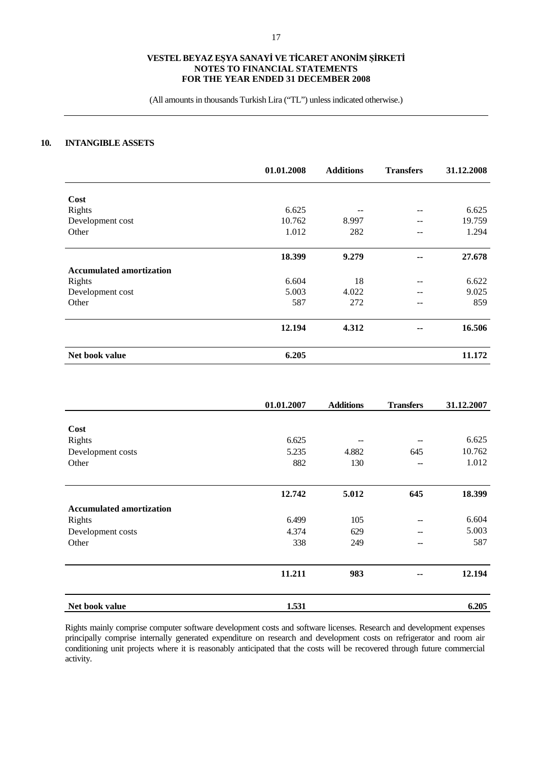(All amounts in thousands Turkish Lira ("TL") unless indicated otherwise.)

#### **10. INTANGIBLE ASSETS**

|                                 | 01.01.2008 | <b>Additions</b> | <b>Transfers</b> | 31.12.2008 |
|---------------------------------|------------|------------------|------------------|------------|
| Cost                            |            |                  |                  |            |
| Rights                          | 6.625      |                  | --               | 6.625      |
| Development cost                | 10.762     | 8.997            | --               | 19.759     |
| Other                           | 1.012      | 282              | --               | 1.294      |
|                                 | 18.399     | 9.279            | --               | 27.678     |
| <b>Accumulated amortization</b> |            |                  |                  |            |
| Rights                          | 6.604      | 18               | --               | 6.622      |
| Development cost                | 5.003      | 4.022            | --               | 9.025      |
| Other                           | 587        | 272              | --               | 859        |
|                                 | 12.194     | 4.312            | --               | 16.506     |
| Net book value                  | 6.205      |                  |                  | 11.172     |

|                                 | 01.01.2007 | <b>Additions</b> | <b>Transfers</b> | 31.12.2007 |
|---------------------------------|------------|------------------|------------------|------------|
|                                 |            |                  |                  |            |
| Cost                            |            |                  |                  |            |
| Rights                          | 6.625      |                  |                  | 6.625      |
| Development costs               | 5.235      | 4.882            | 645              | 10.762     |
| Other                           | 882        | 130              | --               | 1.012      |
|                                 | 12.742     | 5.012            | 645              | 18.399     |
| <b>Accumulated amortization</b> |            |                  |                  |            |
| Rights                          | 6.499      | 105              | --               | 6.604      |
| Development costs               | 4.374      | 629              | --               | 5.003      |
| Other                           | 338        | 249              | --               | 587        |
|                                 | 11.211     | 983              | --               | 12.194     |
| Net book value                  | 1.531      |                  |                  | 6.205      |

Rights mainly comprise computer software development costs and software licenses. Research and development expenses principally comprise internally generated expenditure on research and development costs on refrigerator and room air conditioning unit projects where it is reasonably anticipated that the costs will be recovered through future commercial activity.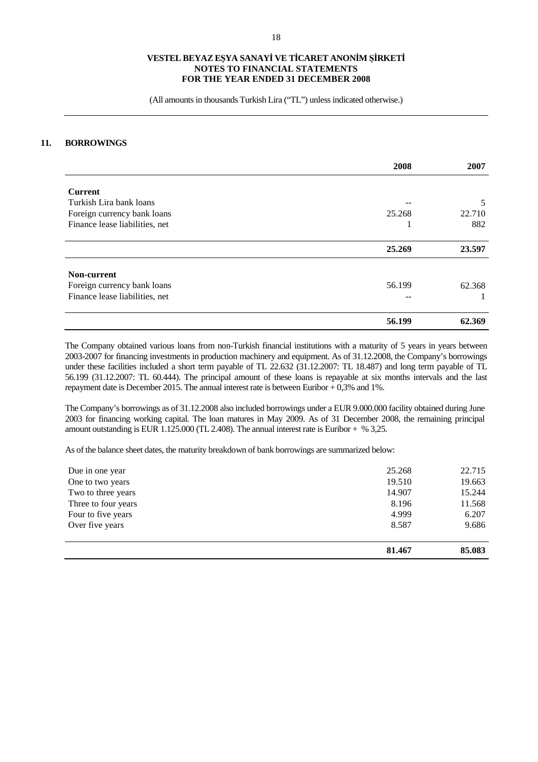(All amounts in thousands Turkish Lira ("TL") unless indicated otherwise.)

#### **11. BORROWINGS**

|                                | 2008   | 2007   |
|--------------------------------|--------|--------|
| <b>Current</b>                 |        |        |
| Turkish Lira bank loans        |        | 5      |
|                                | 25.268 | 22.710 |
| Foreign currency bank loans    |        |        |
| Finance lease liabilities, net |        | 882    |
|                                | 25.269 | 23.597 |
| Non-current                    |        |        |
| Foreign currency bank loans    | 56.199 | 62.368 |
| Finance lease liabilities, net |        |        |
|                                | 56.199 | 62.369 |

The Company obtained various loans from non-Turkish financial institutions with a maturity of 5 years in years between 2003-2007 for financing investments in production machinery and equipment. As of 31.12.2008, the Company's borrowings under these facilities included a short term payable of TL 22.632 (31.12.2007: TL 18.487) and long term payable of TL 56.199 (31.12.2007: TL 60.444). The principal amount of these loans is repayable at six months intervals and the last repayment date is December 2015. The annual interest rate is between Euribor  $+$  0,3% and 1%.

The Company's borrowings as of 31.12.2008 also included borrowings under a EUR 9.000.000 facility obtained during June 2003 for financing working capital. The loan matures in May 2009. As of 31 December 2008, the remaining principal amount outstanding is EUR 1.125.000 (TL 2.408). The annual interest rate is Euribor + % 3,25.

As of the balance sheet dates, the maturity breakdown of bank borrowings are summarized below:

|                     | 81.467 | 85.083 |
|---------------------|--------|--------|
| Over five years     | 8.587  | 9.686  |
| Four to five years  | 4.999  | 6.207  |
| Three to four years | 8.196  | 11.568 |
| Two to three years  | 14.907 | 15.244 |
| One to two years    | 19.510 | 19.663 |
| Due in one year     | 25.268 | 22.715 |
|                     |        |        |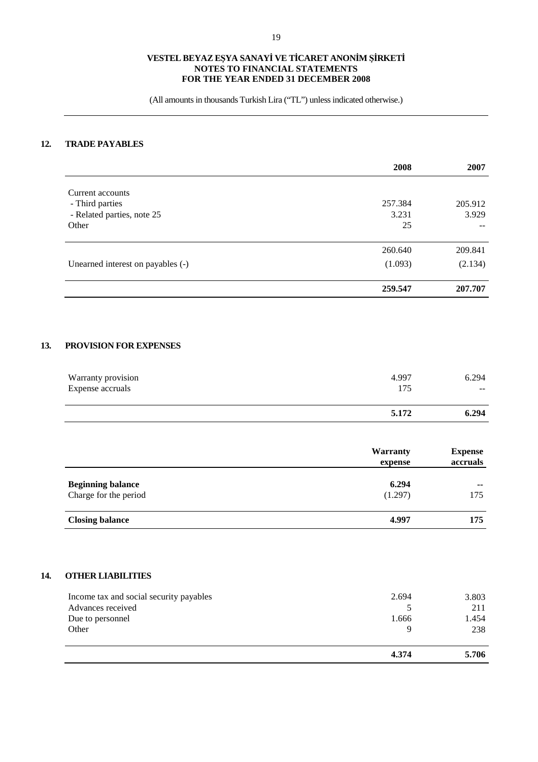(All amounts in thousands Turkish Lira ("TL") unless indicated otherwise.)

# **12. TRADE PAYABLES**

|                                   | 2008    | 2007    |
|-----------------------------------|---------|---------|
|                                   |         |         |
| Current accounts                  |         |         |
| - Third parties                   | 257.384 | 205.912 |
| - Related parties, note 25        | 3.231   | 3.929   |
| Other                             | 25      |         |
|                                   | 260.640 | 209.841 |
| Unearned interest on payables (-) | (1.093) | (2.134) |
|                                   | 259.547 | 207.707 |
|                                   |         |         |

# **13. PROVISION FOR EXPENSES**

|                    | 5.172 | 6.294 |
|--------------------|-------|-------|
| Warranty provision | 4.997 | 6.294 |
| Expense accruals   | 175   | $- -$ |

|                          | <b>Warranty</b><br>expense | <b>Expense</b><br>accruals |
|--------------------------|----------------------------|----------------------------|
| <b>Beginning balance</b> | 6.294                      | $- -$                      |
| Charge for the period    | (1.297)                    | 175                        |
| <b>Closing balance</b>   | 4.997                      | 175                        |

# **14. OTHER LIABILITIES**

| Income tax and social security payables<br>Advances received | 2.694      | 3.803<br>211 |
|--------------------------------------------------------------|------------|--------------|
| Due to personnel<br>Other                                    | 1.666<br>Q | 1.454<br>238 |
|                                                              | 4.374      | 5.706        |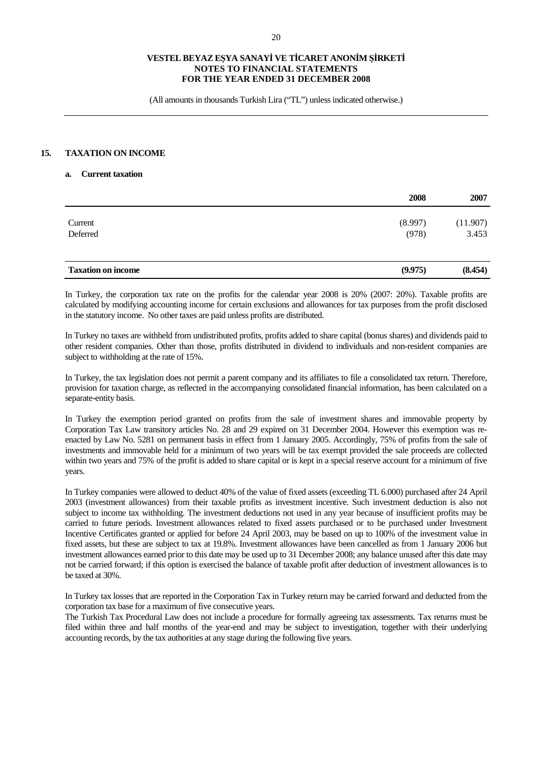(All amounts in thousands Turkish Lira ("TL") unless indicated otherwise.)

#### **15. TAXATION ON INCOME**

#### **a. Current taxation**

|                           | 2008    | 2007     |
|---------------------------|---------|----------|
| Current                   | (8.997) | (11.907) |
| Deferred                  | (978)   | 3.453    |
|                           |         |          |
| <b>Taxation on income</b> | (9.975) | (8.454)  |

In Turkey, the corporation tax rate on the profits for the calendar year 2008 is 20% (2007: 20%). Taxable profits are calculated by modifying accounting income for certain exclusions and allowances for tax purposes from the profit disclosed in the statutory income. No other taxes are paid unless profits are distributed.

In Turkey no taxes are withheld from undistributed profits, profits added to share capital (bonus shares) and dividends paid to other resident companies. Other than those, profits distributed in dividend to individuals and non-resident companies are subject to withholding at the rate of 15%.

In Turkey, the tax legislation does not permit a parent company and its affiliates to file a consolidated tax return. Therefore, provision for taxation charge, as reflected in the accompanying consolidated financial information, has been calculated on a separate-entity basis.

In Turkey the exemption period granted on profits from the sale of investment shares and immovable property by Corporation Tax Law transitory articles No. 28 and 29 expired on 31 December 2004. However this exemption was reenacted by Law No. 5281 on permanent basis in effect from 1 January 2005. Accordingly, 75% of profits from the sale of investments and immovable held for a minimum of two years will be tax exempt provided the sale proceeds are collected within two years and 75% of the profit is added to share capital or is kept in a special reserve account for a minimum of five years.

In Turkey companies were allowed to deduct 40% of the value of fixed assets (exceeding TL 6.000) purchased after 24 April 2003 (investment allowances) from their taxable profits as investment incentive. Such investment deduction is also not subject to income tax withholding. The investment deductions not used in any year because of insufficient profits may be carried to future periods. Investment allowances related to fixed assets purchased or to be purchased under Investment Incentive Certificates granted or applied for before 24 April 2003, may be based on up to 100% of the investment value in fixed assets, but these are subject to tax at 19.8%. Investment allowances have been cancelled as from 1 January 2006 but investment allowances earned prior to this date may be used up to 31 December 2008; any balance unused after this date may not be carried forward; if this option is exercised the balance of taxable profit after deduction of investment allowances is to be taxed at 30%.

In Turkey tax losses that are reported in the Corporation Tax in Turkey return may be carried forward and deducted from the corporation tax base for a maximum of five consecutive years.

The Turkish Tax Procedural Law does not include a procedure for formally agreeing tax assessments. Tax returns must be filed within three and half months of the year-end and may be subject to investigation, together with their underlying accounting records, by the tax authorities at any stage during the following five years.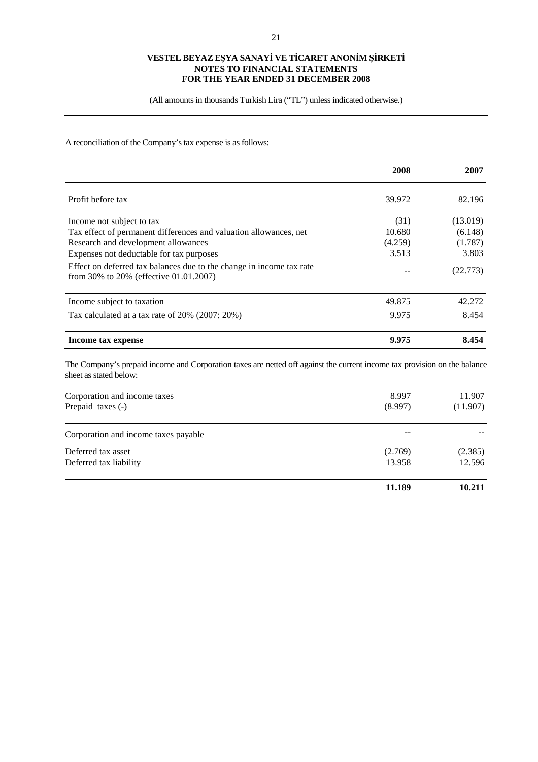(All amounts in thousands Turkish Lira ("TL") unless indicated otherwise.)

A reconciliation of the Company's tax expense is as follows:

|                                                                                                                   | 2008    | 2007     |
|-------------------------------------------------------------------------------------------------------------------|---------|----------|
| Profit before tax                                                                                                 | 39.972  | 82.196   |
| Income not subject to tax                                                                                         | (31)    | (13.019) |
| Tax effect of permanent differences and valuation allowances, net                                                 | 10.680  | (6.148)  |
| Research and development allowances                                                                               | (4.259) | (1.787)  |
| Expenses not deductable for tax purposes                                                                          | 3.513   | 3.803    |
| Effect on deferred tax balances due to the change in income tax rate<br>from 30% to 20% (effective $01.01.2007$ ) |         | (22.773) |
| Income subject to taxation                                                                                        | 49.875  | 42.272   |
| Tax calculated at a tax rate of 20% (2007: 20%)                                                                   | 9.975   | 8.454    |
| Income tax expense                                                                                                | 9.975   | 8.454    |

The Company's prepaid income and Corporation taxes are netted off against the current income tax provision on the balance sheet as stated below:

| Corporation and income taxes<br>Prepaid taxes (-) | 8.997<br>(8.997) | 11.907<br>(11.907) |
|---------------------------------------------------|------------------|--------------------|
| Corporation and income taxes payable              |                  |                    |
| Deferred tax asset                                | (2.769)          | (2.385)            |
| Deferred tax liability                            | 13.958           | 12.596             |
|                                                   | 11.189           | 10.211             |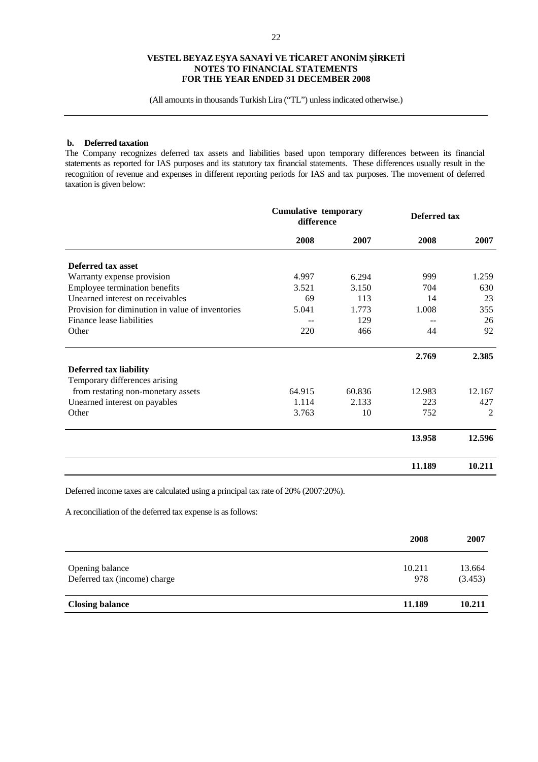(All amounts in thousands Turkish Lira ("TL") unless indicated otherwise.)

# **b. Deferred taxation**

The Company recognizes deferred tax assets and liabilities based upon temporary differences between its financial statements as reported for IAS purposes and its statutory tax financial statements. These differences usually result in the recognition of revenue and expenses in different reporting periods for IAS and tax purposes. The movement of deferred taxation is given below:

|                                                  | <b>Cumulative temporary</b><br>difference |        | Deferred tax |        |
|--------------------------------------------------|-------------------------------------------|--------|--------------|--------|
|                                                  | 2008                                      | 2007   | 2008         | 2007   |
| Deferred tax asset                               |                                           |        |              |        |
| Warranty expense provision                       | 4.997                                     | 6.294  | 999          | 1.259  |
| Employee termination benefits                    | 3.521                                     | 3.150  | 704          | 630    |
| Unearned interest on receivables                 | 69                                        | 113    | 14           | 23     |
| Provision for diminution in value of inventories | 5.041                                     | 1.773  | 1.008        | 355    |
| Finance lease liabilities                        |                                           | 129    |              | 26     |
| Other                                            | 220                                       | 466    | 44           | 92     |
|                                                  |                                           |        | 2.769        | 2.385  |
| <b>Deferred tax liability</b>                    |                                           |        |              |        |
| Temporary differences arising                    |                                           |        |              |        |
| from restating non-monetary assets               | 64.915                                    | 60.836 | 12.983       | 12.167 |
| Unearned interest on payables                    | 1.114                                     | 2.133  | 223          | 427    |
| Other                                            | 3.763                                     | 10     | 752          | 2      |
|                                                  |                                           |        | 13.958       | 12.596 |
|                                                  |                                           |        | 11.189       | 10.211 |

Deferred income taxes are calculated using a principal tax rate of 20% (2007:20%).

A reconciliation of the deferred tax expense is as follows:

|                                                 | 2008          | 2007              |
|-------------------------------------------------|---------------|-------------------|
| Opening balance<br>Deferred tax (income) charge | 10.211<br>978 | 13.664<br>(3.453) |
| <b>Closing balance</b>                          | 11.189        | 10.211            |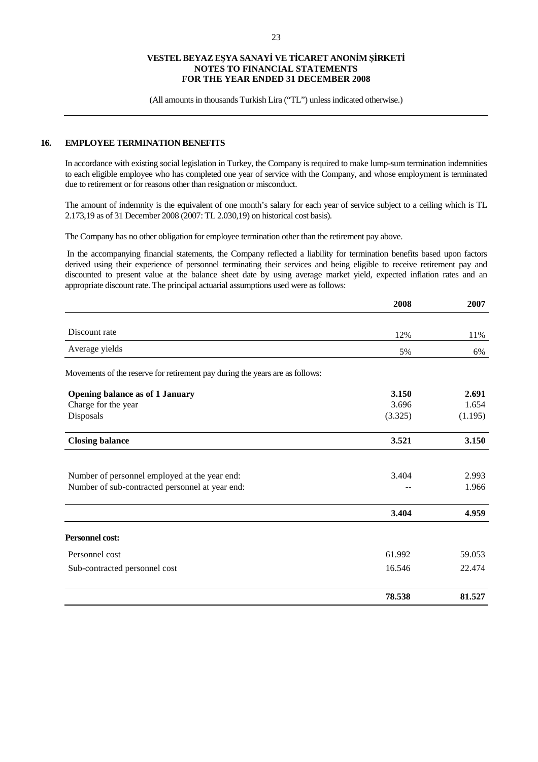(All amounts in thousands Turkish Lira ("TL") unless indicated otherwise.)

#### **16. EMPLOYEE TERMINATION BENEFITS**

In accordance with existing social legislation in Turkey, the Company is required to make lump-sum termination indemnities to each eligible employee who has completed one year of service with the Company, and whose employment is terminated due to retirement or for reasons other than resignation or misconduct.

The amount of indemnity is the equivalent of one month's salary for each year of service subject to a ceiling which is TL 2.173,19 as of 31 December 2008 (2007: TL 2.030,19) on historical cost basis).

The Company has no other obligation for employee termination other than the retirement pay above.

 In the accompanying financial statements, the Company reflected a liability for termination benefits based upon factors derived using their experience of personnel terminating their services and being eligible to receive retirement pay and discounted to present value at the balance sheet date by using average market yield, expected inflation rates and an appropriate discount rate. The principal actuarial assumptions used were as follows:

|                                                                              | 2008    | 2007    |
|------------------------------------------------------------------------------|---------|---------|
|                                                                              |         |         |
| Discount rate                                                                | 12%     | 11%     |
| Average yields                                                               | 5%      | 6%      |
| Movements of the reserve for retirement pay during the years are as follows: |         |         |
| <b>Opening balance as of 1 January</b>                                       | 3.150   | 2.691   |
| Charge for the year                                                          | 3.696   | 1.654   |
| Disposals                                                                    | (3.325) | (1.195) |
| <b>Closing balance</b>                                                       | 3.521   | 3.150   |
|                                                                              |         |         |
| Number of personnel employed at the year end:                                | 3.404   | 2.993   |
| Number of sub-contracted personnel at year end:                              | --      | 1.966   |
|                                                                              | 3.404   | 4.959   |
| <b>Personnel cost:</b>                                                       |         |         |
| Personnel cost                                                               | 61.992  | 59.053  |
| Sub-contracted personnel cost                                                | 16.546  | 22.474  |
|                                                                              | 78.538  | 81.527  |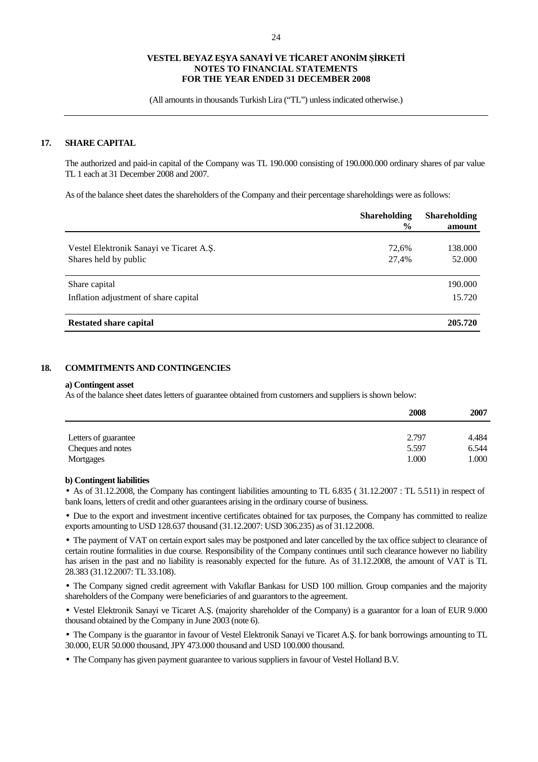(All amounts in thousands Turkish Lira ("TL") unless indicated otherwise.)

### **17. SHARE CAPITAL**

The authorized and paid-in capital of the Company was TL 190.000 consisting of 190.000.000 ordinary shares of par value TL 1 each at 31 December 2008 and 2007.

As of the balance sheet dates the shareholders of the Company and their percentage shareholdings were as follows:

|                                          | <b>Shareholding</b><br>$\frac{6}{9}$ | <b>Shareholding</b><br>amount |
|------------------------------------------|--------------------------------------|-------------------------------|
| Vestel Elektronik Sanayi ve Ticaret A.S. | 72,6%                                | 138.000                       |
| Shares held by public                    | 27,4%                                | 52.000                        |
|                                          |                                      |                               |
| Share capital                            |                                      | 190.000                       |
| Inflation adjustment of share capital    |                                      | 15.720                        |
|                                          |                                      |                               |
| <b>Restated share capital</b>            |                                      | 205.720                       |

#### **18. COMMITMENTS AND CONTINGENCIES**

#### **a) Contingent asset**

As of the balance sheet dates letters of guarantee obtained from customers and suppliers is shown below:

|                      | 2008  | 2007  |
|----------------------|-------|-------|
|                      |       |       |
| Letters of guarantee | 2.797 | 4.484 |
| Cheques and notes    | 5.597 | 6.544 |
| Mortgages            | 1.000 | 1.000 |

### **b) Contingent liabilities**

• As of 31.12.2008, the Company has contingent liabilities amounting to TL 6.835 (31.12.2007 : TL 5.511) in respect of bank loans, letters of credit and other guarantees arising in the ordinary course of business.

• Due to the export and investment incentive certificates obtained for tax purposes, the Company has committed to realize exports amounting to USD 128.637 thousand (31.12.2007: USD 306.235) as of 31.12.2008.

• The payment of VAT on certain export sales may be postponed and later cancelled by the tax office subject to clearance of certain routine formalities in due course. Responsibility of the Company continues until such clearance however no liability has arisen in the past and no liability is reasonably expected for the future. As of 31.12.2008, the amount of VAT is TL 28.383 (31.12.2007: TL 33.108).

• The Company signed credit agreement with Vakıflar Bankası for USD 100 million. Group companies and the majority shareholders of the Company were beneficiaries of and guarantors to the agreement.

• Vestel Elektronik Sanayi ve Ticaret A.Ş. (majority shareholder of the Company) is a guarantor for a loan of EUR 9.000 thousand obtained by the Company in June 2003 (note 6).

• The Company is the guarantor in favour of Vestel Elektronik Sanayi ve Ticaret A.Ş. for bank borrowings amounting to TL 30.000, EUR 50.000 thousand, JPY 473.000 thousand and USD 100.000 thousand.

• The Company has given payment guarantee to various suppliers in favour of Vestel Holland B.V.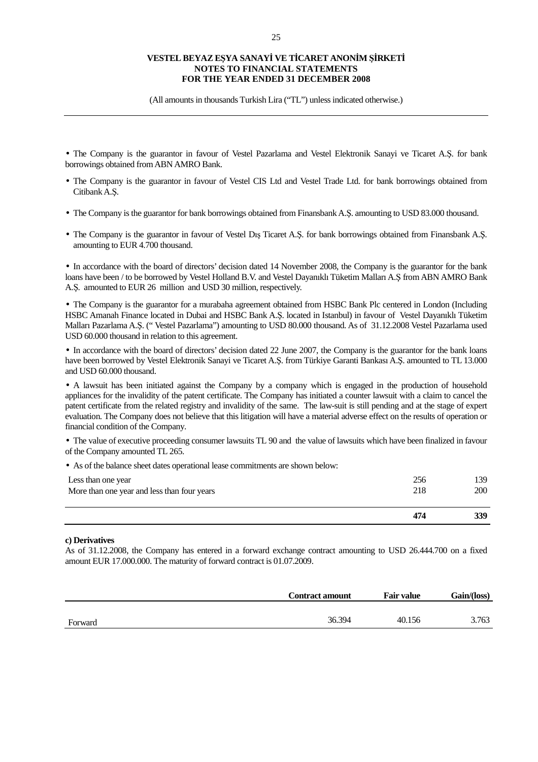(All amounts in thousands Turkish Lira ("TL") unless indicated otherwise.)

• The Company is the guarantor in favour of Vestel Pazarlama and Vestel Elektronik Sanayi ve Ticaret A.Ş. for bank borrowings obtained from ABN AMRO Bank.

- The Company is the guarantor in favour of Vestel CIS Ltd and Vestel Trade Ltd. for bank borrowings obtained from Citibank A.Ş.
- The Company is the guarantor for bank borrowings obtained from Finansbank A.Ş. amounting to USD 83.000 thousand.
- The Company is the guarantor in favour of Vestel Dış Ticaret A.Ş. for bank borrowings obtained from Finansbank A.Ş. amounting to EUR 4.700 thousand.

• In accordance with the board of directors' decision dated 14 November 2008, the Company is the guarantor for the bank loans have been / to be borrowed by Vestel Holland B.V. and Vestel Dayanıklı Tüketim Malları A.Ş from ABN AMRO Bank A.Ş. amounted to EUR 26 million and USD 30 million, respectively.

• The Company is the guarantor for a murabaha agreement obtained from HSBC Bank Plc centered in London (Including HSBC Amanah Finance located in Dubai and HSBC Bank A.Ş. located in Istanbul) in favour of Vestel Dayanıklı Tüketim Malları Pazarlama A.Ş. (" Vestel Pazarlama") amounting to USD 80.000 thousand. As of 31.12.2008 Vestel Pazarlama used USD 60.000 thousand in relation to this agreement.

• In accordance with the board of directors' decision dated 22 June 2007, the Company is the guarantor for the bank loans have been borrowed by Vestel Elektronik Sanayi ve Ticaret A.Ş. from Türkiye Garanti Bankası A.Ş. amounted to TL 13.000 and USD 60.000 thousand.

• A lawsuit has been initiated against the Company by a company which is engaged in the production of household appliances for the invalidity of the patent certificate. The Company has initiated a counter lawsuit with a claim to cancel the patent certificate from the related registry and invalidity of the same. The law-suit is still pending and at the stage of expert evaluation. The Company does not believe that this litigation will have a material adverse effect on the results of operation or financial condition of the Company.

• The value of executive proceeding consumer lawsuits TL 90 and the value of lawsuits which have been finalized in favour of the Company amounted TL 265.

• As of the balance sheet dates operational lease commitments are shown below:

|                                             | 474 | 339 |
|---------------------------------------------|-----|-----|
| Less than one year                          | 256 | 139 |
| More than one year and less than four years | 218 | 200 |

#### **c) Derivatives**

As of 31.12.2008, the Company has entered in a forward exchange contract amounting to USD 26.444.700 on a fixed amount EUR 17.000.000. The maturity of forward contract is 01.07.2009.

|         | Contract amount | <b>Fair value</b> | Gain/(loss) |
|---------|-----------------|-------------------|-------------|
| Forward | 36.394          | 40.156            | 3.763       |
|         |                 |                   |             |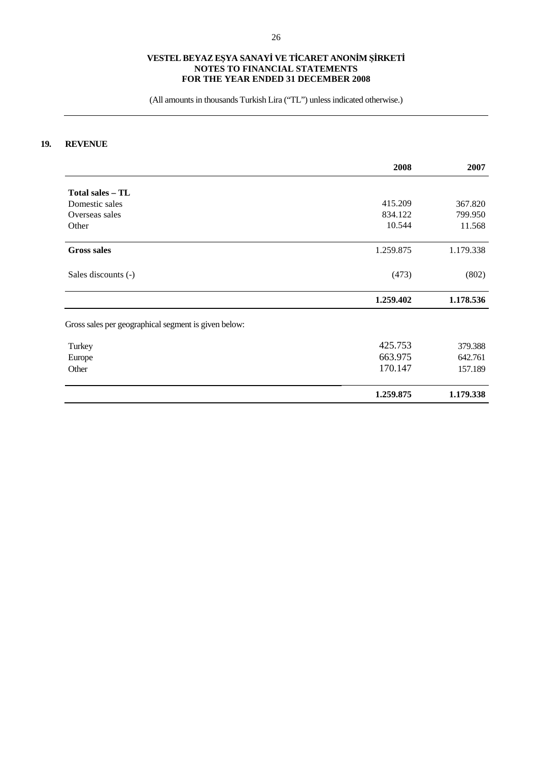(All amounts in thousands Turkish Lira ("TL") unless indicated otherwise.)

# **19. REVENUE**

|                                                      | 2008      | 2007      |
|------------------------------------------------------|-----------|-----------|
| Total sales - TL                                     |           |           |
| Domestic sales                                       | 415.209   | 367.820   |
| Overseas sales                                       | 834.122   | 799.950   |
| Other                                                | 10.544    | 11.568    |
| <b>Gross sales</b>                                   | 1.259.875 | 1.179.338 |
| Sales discounts (-)                                  | (473)     | (802)     |
|                                                      | 1.259.402 | 1.178.536 |
| Gross sales per geographical segment is given below: |           |           |
| Turkey                                               | 425.753   | 379.388   |
| Europe                                               | 663.975   | 642.761   |
| Other                                                | 170.147   | 157.189   |
|                                                      | 1.259.875 | 1.179.338 |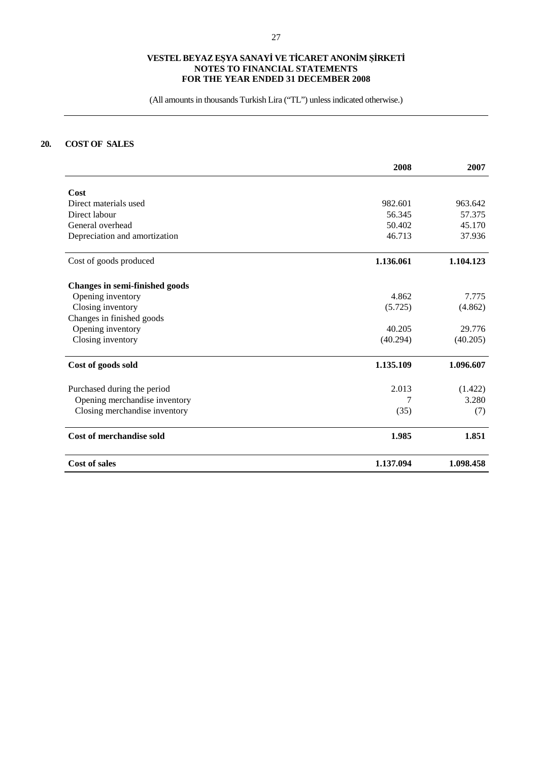(All amounts in thousands Turkish Lira ("TL") unless indicated otherwise.)

# **20. COST OF SALES**

|                                | 2008      | 2007      |
|--------------------------------|-----------|-----------|
|                                |           |           |
| Cost                           |           |           |
| Direct materials used          | 982.601   | 963.642   |
| Direct labour                  | 56.345    | 57.375    |
| General overhead               | 50.402    | 45.170    |
| Depreciation and amortization  | 46.713    | 37.936    |
| Cost of goods produced         | 1.136.061 | 1.104.123 |
| Changes in semi-finished goods |           |           |
| Opening inventory              | 4.862     | 7.775     |
| Closing inventory              | (5.725)   | (4.862)   |
| Changes in finished goods      |           |           |
| Opening inventory              | 40.205    | 29.776    |
| Closing inventory              | (40.294)  | (40.205)  |
| Cost of goods sold             | 1.135.109 | 1.096.607 |
| Purchased during the period    | 2.013     | (1.422)   |
| Opening merchandise inventory  |           | 3.280     |
| Closing merchandise inventory  | (35)      | (7)       |
| Cost of merchandise sold       | 1.985     | 1.851     |
| <b>Cost of sales</b>           | 1.137.094 | 1.098.458 |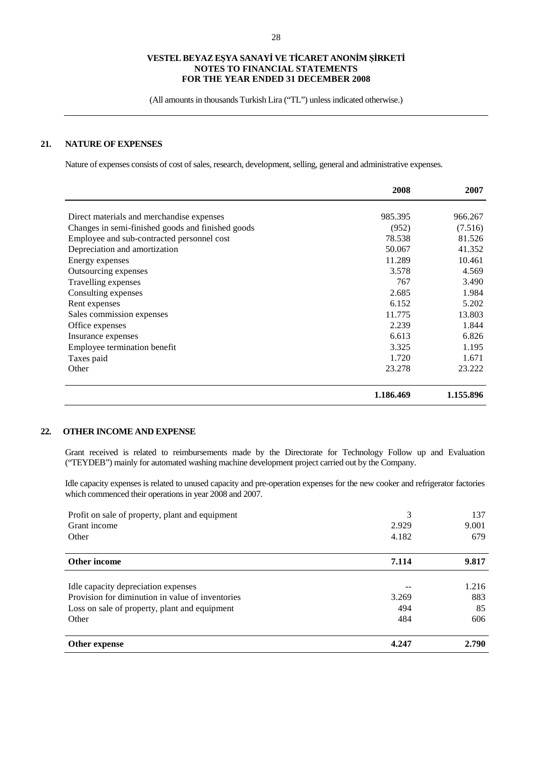(All amounts in thousands Turkish Lira ("TL") unless indicated otherwise.)

# **21. NATURE OF EXPENSES**

Nature of expenses consists of cost of sales, research, development, selling, general and administrative expenses.

|                                                   | 2008      | 2007      |
|---------------------------------------------------|-----------|-----------|
|                                                   |           |           |
| Direct materials and merchandise expenses         | 985.395   | 966.267   |
| Changes in semi-finished goods and finished goods | (952)     | (7.516)   |
| Employee and sub-contracted personnel cost        | 78.538    | 81.526    |
| Depreciation and amortization                     | 50.067    | 41.352    |
| Energy expenses                                   | 11.289    | 10.461    |
| Outsourcing expenses                              | 3.578     | 4.569     |
| Travelling expenses                               | 767       | 3.490     |
| Consulting expenses                               | 2.685     | 1.984     |
| Rent expenses                                     | 6.152     | 5.202     |
| Sales commission expenses                         | 11.775    | 13.803    |
| Office expenses                                   | 2.239     | 1.844     |
| Insurance expenses                                | 6.613     | 6.826     |
| Employee termination benefit                      | 3.325     | 1.195     |
| Taxes paid                                        | 1.720     | 1.671     |
| Other                                             | 23.278    | 23.222    |
|                                                   | 1.186.469 | 1.155.896 |

# **22. OTHER INCOME AND EXPENSE**

Grant received is related to reimbursements made by the Directorate for Technology Follow up and Evaluation ("TEYDEB") mainly for automated washing machine development project carried out by the Company.

Idle capacity expenses is related to unused capacity and pre-operation expenses for the new cooker and refrigerator factories which commenced their operations in year 2008 and 2007.

| Profit on sale of property, plant and equipment<br>Grant income | 3<br>2.929 | 137<br>9.001 |
|-----------------------------------------------------------------|------------|--------------|
| Other                                                           | 4.182      | 679          |
| Other income                                                    | 7.114      | 9.817        |
| Idle capacity depreciation expenses                             |            | 1.216        |
| Provision for diminution in value of inventories                | 3.269      | 883          |
| Loss on sale of property, plant and equipment                   | 494        | 85           |
| Other                                                           | 484        | 606          |
| Other expense                                                   | 4.247      | 2.790        |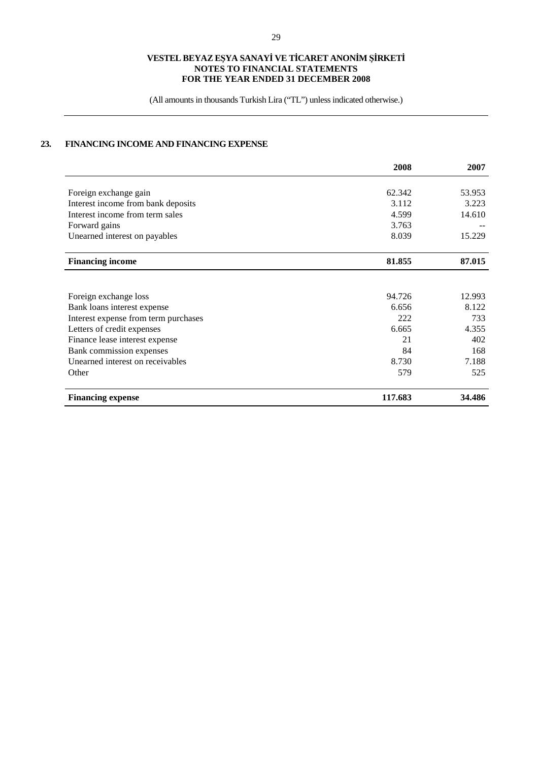(All amounts in thousands Turkish Lira ("TL") unless indicated otherwise.)

# **23. FINANCING INCOME AND FINANCING EXPENSE**

|                                      | 2008    | 2007   |
|--------------------------------------|---------|--------|
|                                      |         |        |
| Foreign exchange gain                | 62.342  | 53.953 |
| Interest income from bank deposits   | 3.112   | 3.223  |
| Interest income from term sales      | 4.599   | 14.610 |
| Forward gains                        | 3.763   |        |
| Unearned interest on payables        | 8.039   | 15.229 |
| <b>Financing income</b>              | 81.855  | 87.015 |
|                                      |         |        |
| Foreign exchange loss                | 94.726  | 12.993 |
| Bank loans interest expense          | 6.656   | 8.122  |
| Interest expense from term purchases | 222     | 733    |
| Letters of credit expenses           | 6.665   | 4.355  |
| Finance lease interest expense       | 21      | 402    |
| Bank commission expenses             | 84      | 168    |
| Unearned interest on receivables     | 8.730   | 7.188  |
| Other                                | 579     | 525    |
| <b>Financing expense</b>             | 117.683 | 34.486 |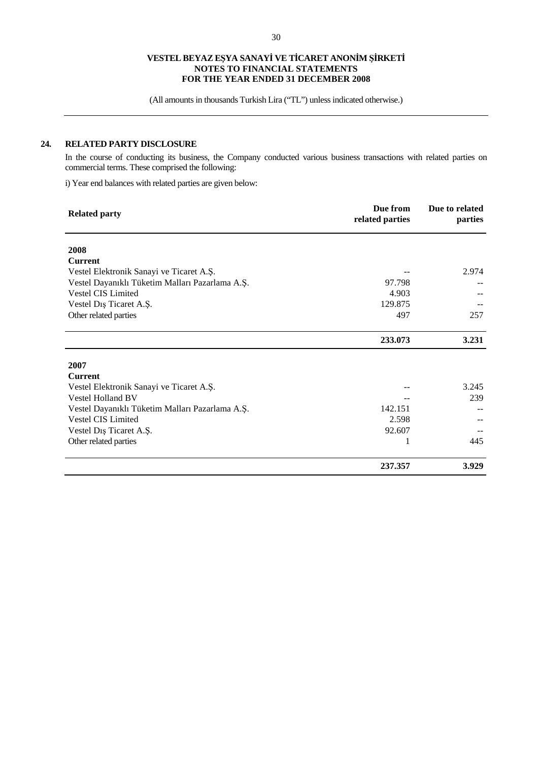(All amounts in thousands Turkish Lira ("TL") unless indicated otherwise.)

# **24. RELATED PARTY DISCLOSURE**

In the course of conducting its business, the Company conducted various business transactions with related parties on commercial terms. These comprised the following:

i) Year end balances with related parties are given below:

| <b>Related party</b>                            | Due from<br>related parties |       |
|-------------------------------------------------|-----------------------------|-------|
| 2008                                            |                             |       |
| <b>Current</b>                                  |                             |       |
| Vestel Elektronik Sanayi ve Ticaret A.Ş.        |                             | 2.974 |
| Vestel Dayanıklı Tüketim Malları Pazarlama A.Ş. | 97.798                      |       |
| <b>Vestel CIS Limited</b>                       | 4.903                       |       |
| Vestel Diş Ticaret A.Ş.                         | 129.875                     |       |
| Other related parties                           | 497                         | 257   |
|                                                 | 233.073                     | 3.231 |
| 2007                                            |                             |       |
| <b>Current</b>                                  |                             |       |
| Vestel Elektronik Sanayi ve Ticaret A.Ş.        |                             | 3.245 |
| Vestel Holland BV                               |                             | 239   |
| Vestel Dayanıklı Tüketim Malları Pazarlama A.Ş. | 142.151                     |       |
| <b>Vestel CIS Limited</b>                       | 2.598                       |       |
| Vestel Diş Ticaret A.Ş.                         | 92.607                      |       |
| Other related parties                           | 1                           | 445   |
|                                                 | 237,357                     | 3.929 |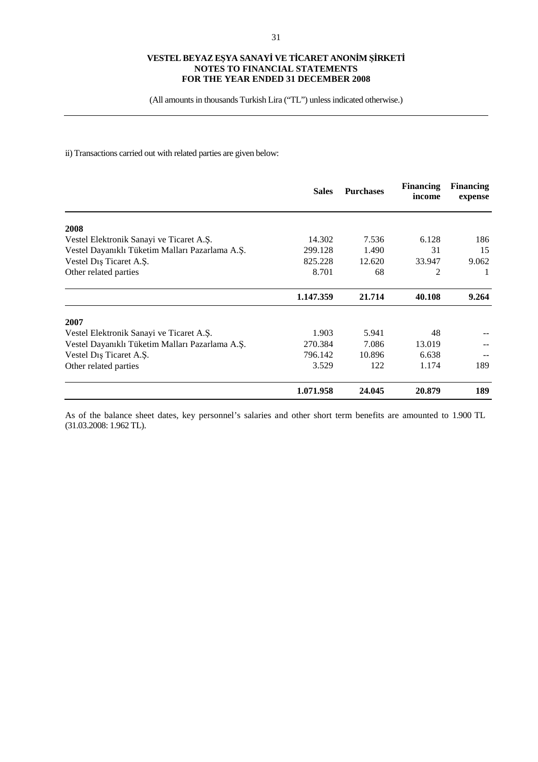(All amounts in thousands Turkish Lira ("TL") unless indicated otherwise.)

ii) Transactions carried out with related parties are given below:

|                                                 | <b>Sales</b> | <b>Purchases</b> | <b>Financing</b><br>income | <b>Financing</b><br>expense |
|-------------------------------------------------|--------------|------------------|----------------------------|-----------------------------|
| 2008                                            |              |                  |                            |                             |
| Vestel Elektronik Sanayi ve Ticaret A.Ş.        | 14.302       | 7.536            | 6.128                      | 186                         |
| Vestel Dayanıklı Tüketim Malları Pazarlama A.Ş. | 299.128      | 1.490            | 31                         | 15                          |
| Vestel D <sub>1</sub> Ticaret A.S.              | 825.228      | 12.620           | 33.947                     | 9.062                       |
| Other related parties                           | 8.701        | 68               | 2                          |                             |
|                                                 | 1.147.359    | 21.714           | 40.108                     | 9.264                       |
| 2007                                            |              |                  |                            |                             |
| Vestel Elektronik Sanayi ve Ticaret A.Ş.        | 1.903        | 5.941            | 48                         |                             |
| Vestel Dayanıklı Tüketim Malları Pazarlama A.Ş. | 270.384      | 7.086            | 13.019                     |                             |
| Vestel D <sub>1</sub> Ticaret A.S.              | 796.142      | 10.896           | 6.638                      |                             |
| Other related parties                           | 3.529        | 122              | 1.174                      | 189                         |
|                                                 | 1.071.958    | 24.045           | 20.879                     | 189                         |

As of the balance sheet dates, key personnel's salaries and other short term benefits are amounted to 1.900 TL (31.03.2008: 1.962 TL).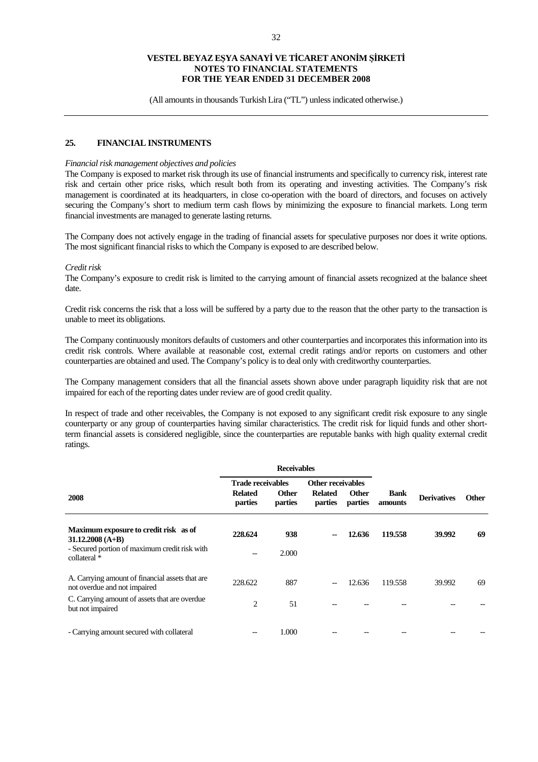(All amounts in thousands Turkish Lira ("TL") unless indicated otherwise.)

#### **25. FINANCIAL INSTRUMENTS**

#### *Financial risk management objectives and policies*

The Company is exposed to market risk through its use of financial instruments and specifically to currency risk, interest rate risk and certain other price risks, which result both from its operating and investing activities. The Company's risk management is coordinated at its headquarters, in close co-operation with the board of directors, and focuses on actively securing the Company's short to medium term cash flows by minimizing the exposure to financial markets. Long term financial investments are managed to generate lasting returns.

The Company does not actively engage in the trading of financial assets for speculative purposes nor does it write options. The most significant financial risks to which the Company is exposed to are described below.

#### *Credit risk*

The Company's exposure to credit risk is limited to the carrying amount of financial assets recognized at the balance sheet date.

Credit risk concerns the risk that a loss will be suffered by a party due to the reason that the other party to the transaction is unable to meet its obligations.

The Company continuously monitors defaults of customers and other counterparties and incorporates this information into its credit risk controls. Where available at reasonable cost, external credit ratings and/or reports on customers and other counterparties are obtained and used. The Company's policy is to deal only with creditworthy counterparties.

The Company management considers that all the financial assets shown above under paragraph liquidity risk that are not impaired for each of the reporting dates under review are of good credit quality.

In respect of trade and other receivables, the Company is not exposed to any significant credit risk exposure to any single counterparty or any group of counterparties having similar characteristics. The credit risk for liquid funds and other shortterm financial assets is considered negligible, since the counterparties are reputable banks with high quality external credit ratings.

|                                                                                 | <b>Receivables</b>                                         |         |                                                            |         |             |                    |              |
|---------------------------------------------------------------------------------|------------------------------------------------------------|---------|------------------------------------------------------------|---------|-------------|--------------------|--------------|
|                                                                                 | <b>Trade receivables</b><br><b>Other</b><br><b>Related</b> |         | <b>Other receivables</b><br><b>Related</b><br><b>Other</b> |         | <b>Bank</b> |                    |              |
| 2008                                                                            | parties                                                    | parties | parties                                                    | parties | amounts     | <b>Derivatives</b> | <b>Other</b> |
| Maximum exposure to credit risk as of<br>$31.12,2008(A+B)$                      | 228.624                                                    | 938     | --                                                         | 12.636  | 119.558     | 39.992             | 69           |
| - Secured portion of maximum credit risk with<br>collateral *                   | --                                                         | 2.000   |                                                            |         |             |                    |              |
| A. Carrying amount of financial assets that are<br>not overdue and not impaired | 228.622                                                    | 887     | $\overline{\phantom{a}}$                                   | 12.636  | 119.558     | 39.992             | 69           |
| C. Carrying amount of assets that are overdue<br>but not impaired               | $\overline{2}$                                             | 51      |                                                            |         |             |                    |              |
| - Carrying amount secured with collateral                                       |                                                            | 1.000   |                                                            |         |             |                    |              |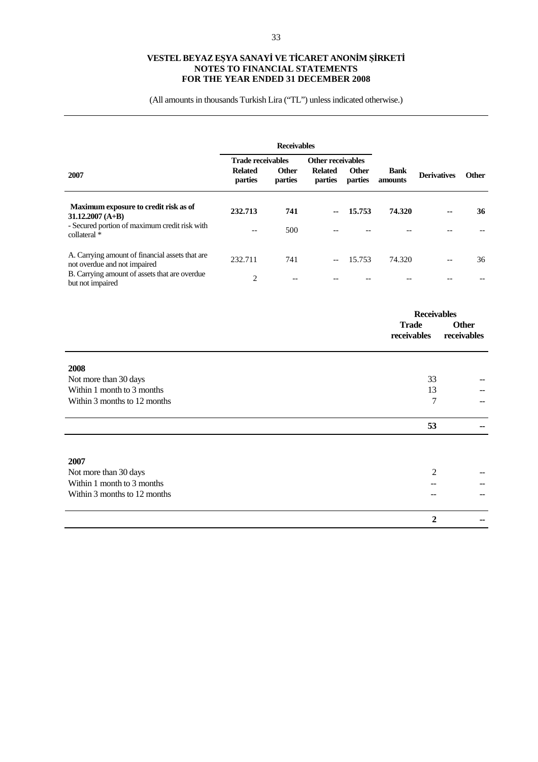(All amounts in thousands Turkish Lira ("TL") unless indicated otherwise.)

|                                                                                 | <b>Receivables</b>                                    |                         |                                                       |                         |                             |                    |                             |
|---------------------------------------------------------------------------------|-------------------------------------------------------|-------------------------|-------------------------------------------------------|-------------------------|-----------------------------|--------------------|-----------------------------|
| 2007                                                                            | <b>Trade receivables</b><br><b>Related</b><br>parties | <b>Other</b><br>parties | <b>Other receivables</b><br><b>Related</b><br>parties | <b>Other</b><br>parties | <b>Bank</b><br>amounts      | <b>Derivatives</b> | <b>Other</b>                |
| Maximum exposure to credit risk as of<br>$31.12.2007 (A+B)$                     | 232.713                                               | 741                     | --                                                    | 15.753                  | 74.320                      |                    | 36                          |
| - Secured portion of maximum credit risk with<br>collateral *                   | $\qquad \qquad -$                                     | 500                     |                                                       |                         |                             |                    |                             |
| A. Carrying amount of financial assets that are<br>not overdue and not impaired | 232.711                                               | 741                     | $-$                                                   | 15.753                  | 74.320                      |                    | 36                          |
| B. Carrying amount of assets that are overdue<br>but not impaired               | $\overline{c}$                                        |                         |                                                       |                         |                             |                    |                             |
|                                                                                 |                                                       |                         |                                                       |                         | <b>Receivables</b>          |                    |                             |
|                                                                                 |                                                       |                         |                                                       |                         | <b>Trade</b><br>receivables |                    | <b>Other</b><br>receivables |
| 2006                                                                            |                                                       |                         |                                                       |                         |                             |                    |                             |

| 200ò                         |                |  |
|------------------------------|----------------|--|
| Not more than 30 days        | 33             |  |
| Within 1 month to 3 months   | 13             |  |
| Within 3 months to 12 months | 7              |  |
|                              |                |  |
|                              | 53             |  |
|                              |                |  |
| 2007                         |                |  |
| Not more than 30 days        | $\mathfrak{D}$ |  |
| Within 1 month to 3 months   |                |  |
| Within 3 months to 12 months |                |  |
|                              |                |  |
|                              | 2              |  |
|                              |                |  |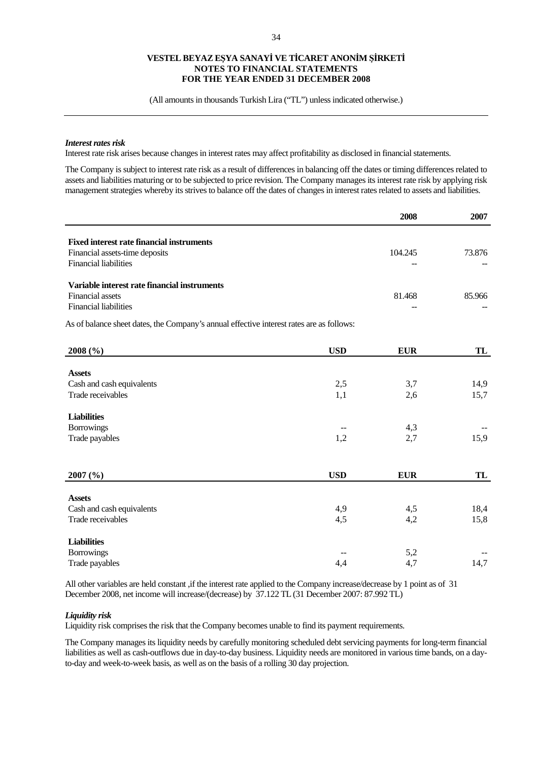(All amounts in thousands Turkish Lira ("TL") unless indicated otherwise.)

#### *Interest rates risk*

Interest rate risk arises because changes in interest rates may affect profitability as disclosed in financial statements.

The Company is subject to interest rate risk as a result of differences in balancing off the dates or timing differences related to assets and liabilities maturing or to be subjected to price revision. The Company manages its interest rate risk by applying risk management strategies whereby its strives to balance off the dates of changes in interest rates related to assets and liabilities.

|                                                                                          |            | 2008       | 2007   |
|------------------------------------------------------------------------------------------|------------|------------|--------|
| <b>Fixed interest rate financial instruments</b>                                         |            |            |        |
| Financial assets-time deposits                                                           |            | 104.245    | 73.876 |
| <b>Financial liabilities</b>                                                             |            |            |        |
| Variable interest rate financial instruments                                             |            |            |        |
| <b>Financial</b> assets                                                                  |            | 81.468     | 85.966 |
| <b>Financial liabilities</b>                                                             |            |            |        |
| As of balance sheet dates, the Company's annual effective interest rates are as follows: |            |            |        |
| 2008(%)                                                                                  | <b>USD</b> | <b>EUR</b> | TL     |
| <b>Assets</b>                                                                            |            |            |        |
| Cash and cash equivalents                                                                | 2,5        | 3,7        | 14,9   |
| Trade receivables                                                                        | 1,1        | 2,6        | 15,7   |
| <b>Liabilities</b>                                                                       |            |            |        |
| <b>Borrowings</b>                                                                        |            | 4,3        |        |
| Trade payables                                                                           | 1,2        | 2,7        | 15,9   |
|                                                                                          |            |            |        |
| 2007(%)                                                                                  | <b>USD</b> | <b>EUR</b> | TL     |
| <b>Assets</b>                                                                            |            |            |        |
| Cash and cash equivalents                                                                | 4,9        | 4,5        | 18,4   |
| Trade receivables                                                                        | 4,5        | 4,2        | 15,8   |
| <b>Liabilities</b>                                                                       |            |            |        |
| <b>Borrowings</b>                                                                        |            | 5,2        |        |
| Trade payables                                                                           | 4.4        | 4,7        | 14,7   |

All other variables are held constant , if the interest rate applied to the Company increase/decrease by 1 point as of 31 December 2008, net income will increase/(decrease) by 37.122 TL (31 December 2007: 87.992 TL)

### *Liquidity risk*

Liquidity risk comprises the risk that the Company becomes unable to find its payment requirements.

The Company manages its liquidity needs by carefully monitoring scheduled debt servicing payments for long-term financial liabilities as well as cash-outflows due in day-to-day business. Liquidity needs are monitored in various time bands, on a dayto-day and week-to-week basis, as well as on the basis of a rolling 30 day projection.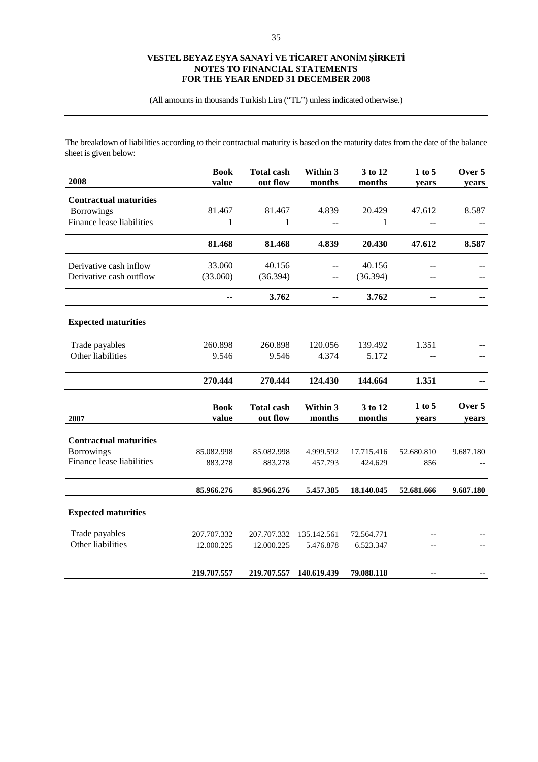(All amounts in thousands Turkish Lira ("TL") unless indicated otherwise.)

The breakdown of liabilities according to their contractual maturity is based on the maturity dates from the date of the balance sheet is given below:

| 2008                          | <b>Book</b><br>value | <b>Total cash</b><br>out flow | Within 3<br>months | 3 to 12<br>months | 1 to 5<br>years | Over 5<br>years |
|-------------------------------|----------------------|-------------------------------|--------------------|-------------------|-----------------|-----------------|
| <b>Contractual maturities</b> |                      |                               |                    |                   |                 |                 |
| <b>Borrowings</b>             | 81.467               | 81.467                        | 4.839              | 20.429            | 47.612          | 8.587           |
| Finance lease liabilities     | 1                    | 1                             |                    | 1                 |                 |                 |
|                               | 81.468               | 81.468                        | 4.839              | 20.430            | 47.612          | 8.587           |
| Derivative cash inflow        | 33.060               | 40.156                        | $-$                | 40.156            | $\sim$          |                 |
| Derivative cash outflow       | (33.060)             | (36.394)                      | --                 | (36.394)          |                 |                 |
|                               | --                   | 3.762                         | --                 | 3.762             | --              | --              |
| <b>Expected maturities</b>    |                      |                               |                    |                   |                 |                 |
| Trade payables                | 260.898              | 260.898                       | 120.056            | 139.492           | 1.351           |                 |
| Other liabilities             | 9.546                | 9.546                         | 4.374              | 5.172             |                 |                 |
|                               | 270.444              | 270.444                       | 124.430            | 144.664           | 1.351           | --              |
|                               | <b>Book</b>          | <b>Total cash</b>             | Within 3           | 3 to 12           | 1 to 5          | Over 5          |
| 2007                          | value                | out flow                      | months             | months            | years           | years           |
| <b>Contractual maturities</b> |                      |                               |                    |                   |                 |                 |
| <b>Borrowings</b>             | 85.082.998           | 85.082.998                    | 4.999.592          | 17.715.416        | 52.680.810      | 9.687.180       |
| Finance lease liabilities     | 883.278              | 883.278                       | 457.793            | 424.629           | 856             |                 |
|                               | 85.966.276           | 85.966.276                    | 5.457.385          | 18.140.045        | 52.681.666      | 9.687.180       |
| <b>Expected maturities</b>    |                      |                               |                    |                   |                 |                 |
| Trade payables                | 207.707.332          | 207.707.332                   | 135.142.561        | 72.564.771        | $-$             |                 |
| Other liabilities             | 12.000.225           | 12.000.225                    | 5.476.878          | 6.523.347         |                 |                 |
|                               | 219.707.557          | 219.707.557                   | 140.619.439        | 79.088.118        | н.              | $\sim$          |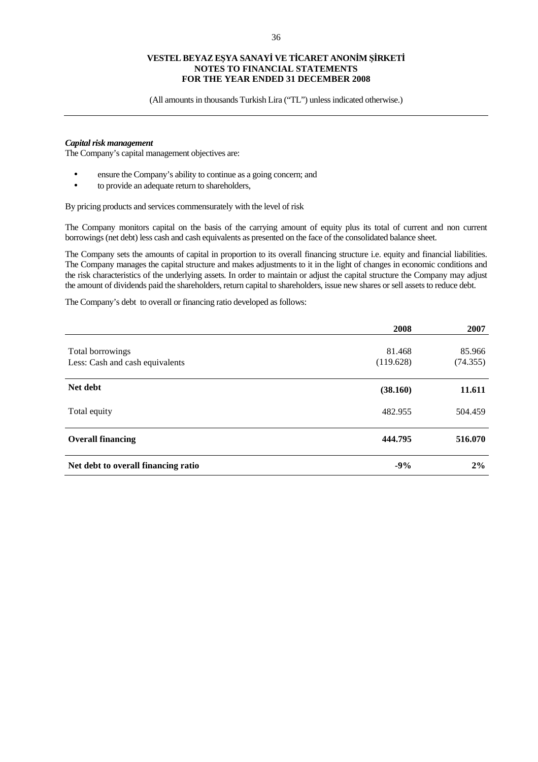(All amounts in thousands Turkish Lira ("TL") unless indicated otherwise.)

#### *Capital risk management*

The Company's capital management objectives are:

- ensure the Company's ability to continue as a going concern; and
- to provide an adequate return to shareholders,

By pricing products and services commensurately with the level of risk

The Company monitors capital on the basis of the carrying amount of equity plus its total of current and non current borrowings (net debt) less cash and cash equivalents as presented on the face of the consolidated balance sheet.

The Company sets the amounts of capital in proportion to its overall financing structure i.e. equity and financial liabilities. The Company manages the capital structure and makes adjustments to it in the light of changes in economic conditions and the risk characteristics of the underlying assets. In order to maintain or adjust the capital structure the Company may adjust the amount of dividends paid the shareholders, return capital to shareholders, issue new shares or sell assets to reduce debt.

The Company's debt to overall or financing ratio developed as follows:

|                                                     | 2008                | 2007               |
|-----------------------------------------------------|---------------------|--------------------|
| Total borrowings<br>Less: Cash and cash equivalents | 81.468<br>(119.628) | 85.966<br>(74.355) |
| Net debt                                            | (38.160)            | 11.611             |
| Total equity                                        | 482.955             | 504.459            |
| <b>Overall financing</b>                            | 444.795             | 516.070            |
| Net debt to overall financing ratio                 | $-9%$               | $2\%$              |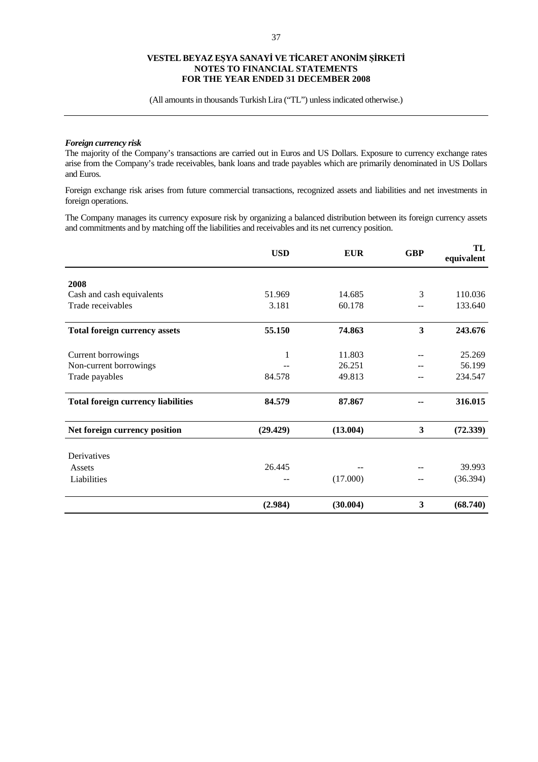(All amounts in thousands Turkish Lira ("TL") unless indicated otherwise.)

#### *Foreign currency risk*

The majority of the Company's transactions are carried out in Euros and US Dollars. Exposure to currency exchange rates arise from the Company's trade receivables, bank loans and trade payables which are primarily denominated in US Dollars and Euros.

Foreign exchange risk arises from future commercial transactions, recognized assets and liabilities and net investments in foreign operations.

The Company manages its currency exposure risk by organizing a balanced distribution between its foreign currency assets and commitments and by matching off the liabilities and receivables and its net currency position.

|                                           | <b>USD</b> | <b>EUR</b> | <b>GBP</b> | TL<br>equivalent |
|-------------------------------------------|------------|------------|------------|------------------|
| 2008                                      |            |            |            |                  |
| Cash and cash equivalents                 | 51.969     | 14.685     | 3          | 110.036          |
| Trade receivables                         | 3.181      | 60.178     |            | 133.640          |
| <b>Total foreign currency assets</b>      | 55.150     | 74.863     | 3          | 243.676          |
| Current borrowings                        | 1          | 11.803     |            | 25.269           |
| Non-current borrowings                    |            | 26.251     |            | 56.199           |
| Trade payables                            | 84.578     | 49.813     |            | 234.547          |
| <b>Total foreign currency liabilities</b> | 84.579     | 87.867     |            | 316.015          |
| Net foreign currency position             | (29.429)   | (13.004)   | 3          | (72.339)         |
| Derivatives                               |            |            |            |                  |
| Assets                                    | 26.445     |            |            | 39.993           |
| Liabilities                               |            | (17.000)   | --         | (36.394)         |
|                                           | (2.984)    | (30.004)   | 3          | (68.740)         |